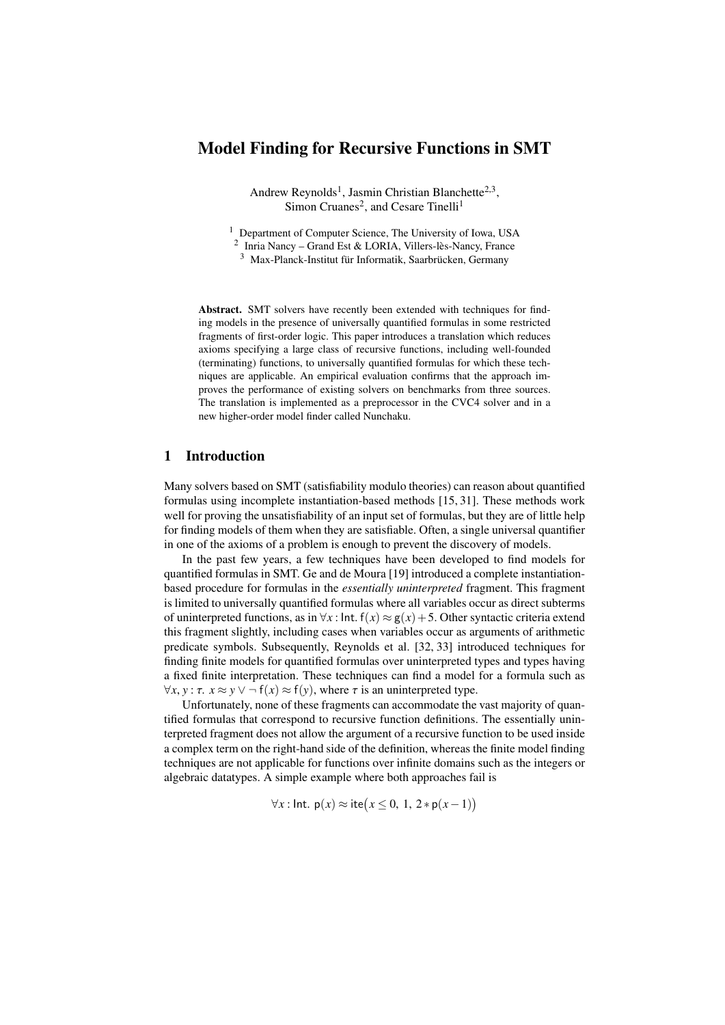# Model Finding for Recursive Functions in SMT

Andrew Reynolds<sup>1</sup>, Jasmin Christian Blanchette<sup>2,3</sup>, Simon Cruanes<sup>2</sup>, and Cesare Tinelli<sup>1</sup>

<sup>1</sup> Department of Computer Science, The University of Iowa, USA

2 Inria Nancy – Grand Est & LORIA, Villers-lès-Nancy, France

<sup>3</sup> Max-Planck-Institut für Informatik, Saarbrücken, Germany

Abstract. SMT solvers have recently been extended with techniques for finding models in the presence of universally quantified formulas in some restricted fragments of first-order logic. This paper introduces a translation which reduces axioms specifying a large class of recursive functions, including well-founded (terminating) functions, to universally quantified formulas for which these techniques are applicable. An empirical evaluation confirms that the approach improves the performance of existing solvers on benchmarks from three sources. The translation is implemented as a preprocessor in the CVC4 solver and in a new higher-order model finder called Nunchaku.

### 1 Introduction

Many solvers based on SMT (satisfiability modulo theories) can reason about quantified formulas using incomplete instantiation-based methods [\[15,](#page-15-0) [31\]](#page-16-0). These methods work well for proving the unsatisfiability of an input set of formulas, but they are of little help for finding models of them when they are satisfiable. Often, a single universal quantifier in one of the axioms of a problem is enough to prevent the discovery of models.

In the past few years, a few techniques have been developed to find models for quantified formulas in SMT. Ge and de Moura [\[19\]](#page-15-1) introduced a complete instantiationbased procedure for formulas in the *essentially uninterpreted* fragment. This fragment is limited to universally quantified formulas where all variables occur as direct subterms of uninterpreted functions, as in  $\forall x$ : Int.  $f(x) \approx g(x) + 5$ . Other syntactic criteria extend this fragment slightly, including cases when variables occur as arguments of arithmetic predicate symbols. Subsequently, Reynolds et al. [\[32,](#page-16-1) [33\]](#page-16-2) introduced techniques for finding finite models for quantified formulas over uninterpreted types and types having a fixed finite interpretation. These techniques can find a model for a formula such as  $\forall x, y : \tau$ .  $x \approx y \lor \neg f(x) \approx f(y)$ , where  $\tau$  is an uninterpreted type.

Unfortunately, none of these fragments can accommodate the vast majority of quantified formulas that correspond to recursive function definitions. The essentially uninterpreted fragment does not allow the argument of a recursive function to be used inside a complex term on the right-hand side of the definition, whereas the finite model finding techniques are not applicable for functions over infinite domains such as the integers or algebraic datatypes. A simple example where both approaches fail is

$$
\forall x : \mathsf{Int.}\; \mathsf{p}(x) \approx \mathsf{ite}\big(x \leq 0, \, 1, \, 2 * \mathsf{p}(x-1)\big)
$$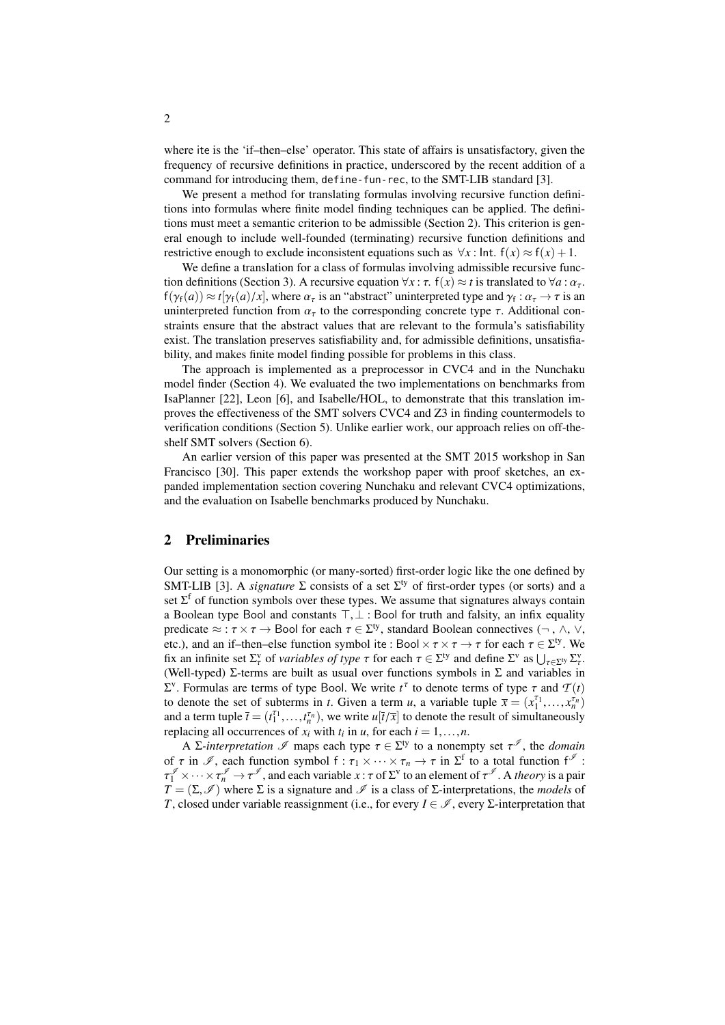where ite is the 'if–then–else' operator. This state of affairs is unsatisfactory, given the frequency of recursive definitions in practice, underscored by the recent addition of a command for introducing them, define-fun-rec, to the SMT-LIB standard [\[3\]](#page-14-0).

We present a method for translating formulas involving recursive function definitions into formulas where finite model finding techniques can be applied. The definitions must meet a semantic criterion to be admissible (Section [2\)](#page-1-0). This criterion is general enough to include well-founded (terminating) recursive function definitions and restrictive enough to exclude inconsistent equations such as  $\forall x$ : Int.  $f(x) \approx f(x) + 1$ .

We define a translation for a class of formulas involving admissible recursive func-tion definitions (Section [3\)](#page-3-0). A recursive equation  $\forall x : \tau$ .  $f(x) \approx t$  is translated to  $\forall a : \alpha_{\tau}$ .  $f(\gamma_f(a)) \approx t[\gamma_f(a)/x]$ , where  $\alpha_{\tau}$  is an "abstract" uninterpreted type and  $\gamma_f : \alpha_{\tau} \to \tau$  is an uninterpreted function from  $\alpha_{\tau}$  to the corresponding concrete type  $\tau$ . Additional conuninterpreted function from  $\alpha_{\tau}$  to the corresponding concrete type  $\tau$ . Additional constraints ensure that the abstract values that are relevant to the formula's satisfiability exist. The translation preserves satisfiability and, for admissible definitions, unsatisfiability, and makes finite model finding possible for problems in this class.

The approach is implemented as a preprocessor in CVC4 and in the Nunchaku model finder (Section [4\)](#page-8-0). We evaluated the two implementations on benchmarks from IsaPlanner [\[22\]](#page-15-2), Leon [\[6\]](#page-15-3), and Isabelle/HOL, to demonstrate that this translation improves the effectiveness of the SMT solvers CVC4 and Z3 in finding countermodels to verification conditions (Section [5\)](#page-11-0). Unlike earlier work, our approach relies on off-theshelf SMT solvers (Section [6\)](#page-13-0).

An earlier version of this paper was presented at the SMT 2015 workshop in San Francisco [\[30\]](#page-16-3). This paper extends the workshop paper with proof sketches, an expanded implementation section covering Nunchaku and relevant CVC4 optimizations, and the evaluation on Isabelle benchmarks produced by Nunchaku.

### <span id="page-1-0"></span>2 Preliminaries

Our setting is a monomorphic (or many-sorted) first-order logic like the one defined by SMT-LIB [\[3\]](#page-14-0). A *signature*  $\Sigma$  consists of a set  $\Sigma^{ty}$  of first-order types (or sorts) and a set  $\Sigma^f$  of function symbols over these types. We assume that signatures always contain a Boolean type Bool and constants  $\top$ ,  $\bot$  : Bool for truth and falsity, an infix equality predicate <sup>≈</sup> : τ <sup>×</sup> τ <sup>→</sup> Bool for each τ <sup>∈</sup> <sup>Σ</sup> ty, standard Boolean connectives (¬ , ∧, ∨, etc.), and an if–then–else function symbol ite : Bool  $\times \tau \times \tau \to \tau$  for each  $\tau \in \Sigma^{ty}$ . We<br>fix an infinite set  $\Sigma^{y}$  of *variables of type*  $\tau$  for each  $\tau \in \Sigma^{ty}$  and define  $\Sigma^{y}$  as  $| \cdot |_{\tau \sim \Sigma^{y}}$ fix an infinite set  $\Sigma_{\tau}^{\nu}$  of *variables of type*  $\tau$  for each  $\tau \in \Sigma^{\nu}$  and define  $\Sigma^{\nu}$  as  $\bigcup_{\tau \in \Sigma^{\nu}} \Sigma_{\tau}^{\nu}$ .<br>(Well-typed)  $\Sigma$ -terms are built as usual over functions symbols in  $\Sigma$  and variables (Well-typed) Σ-terms are built as usual over functions symbols in  $\Sigma$  and variables in  $\Sigma^{\nu}$ . Formulas are terms of type Bool. We write *t*<sup>τ</sup> to denote terms of type τ and *T* (*t*) to denote the set of subterms in *t*. Given a term *u*, a variable tuple  $\overline{x} = (x^{T_1} - x^{T_n})$ to denote the set of subterms in *t*. Given a term *u*, a variable tuple  $\overline{x} = (x_1^{\tau_1}, \dots, x_n^{\tau_n})$ <br>and a term tuple  $\overline{t} = (t_1^{\tau_1} \qquad t_1^{\tau_n})$  we write  $u[\overline{t}/\overline{x}]$  to denote the result of simultaneously and a term tuple  $\bar{t} = (t_1^{\tau_1}, \dots, t_n^{\tau_n})$ , we write  $u[\bar{t}/\bar{x}]$  to denote the result of simultaneously replacing all occurrences of r, with t, in u for each  $i-1$ replacing all occurrences of  $x_i$  with  $t_i$  in *u*, for each  $i = 1, ..., n$ .<br>A  $\sum$  *interpretation*  $\mathcal{I}$  maps each type  $\tau \in \Sigma^{ty}$  to a nonemum

A *Σ*-interpretation  $\mathcal I$  maps each type  $\tau \in \Sigma^{ty}$  to a nonempty set  $\tau^{\mathcal J}$ , the *domain*<br>r in  $\mathcal I$  each function symbol  $f : \tau_1 \times \ldots \times \tau_n \to \tau$  in  $\Sigma^f$  to a total function  $f^{\mathcal J}$ . of  $\tau$  in  $\mathcal{I}$ , each function symbol  $f : \tau_1 \times \cdots \times \tau_n \to \tau$  in  $\Sigma^f$  to a total function  $f^{\mathcal{I}}$ .  $T = (\Sigma, \mathcal{I})$  where  $\Sigma$  is a signature and  $\mathcal{I}$  is a class of  $\Sigma$ -interpretations, the *models* of  $T$  closed under variable reassignment (i.e. for every  $I \subseteq \mathcal{I}$  every  $\Sigma$ -interpretation that  $\int_{1}^{\mathcal{J}} \times \cdots \times \tau_{n}^{\mathcal{J}} \to \tau^{\mathcal{J}}$ , and each variable  $x : \tau$  of  $\Sigma^{v}$  to an element of  $\tau^{\mathcal{J}}$ . A *theory* is a pair  $\tau \to (\Sigma, \mathcal{J})$  where  $\Sigma$  is a signature and  $\mathcal{J}$  is a class of  $\Sigma$ -interpretation *T*, closed under variable reassignment (i.e., for every  $I \in \mathcal{I}$ , every  $\Sigma$ -interpretation that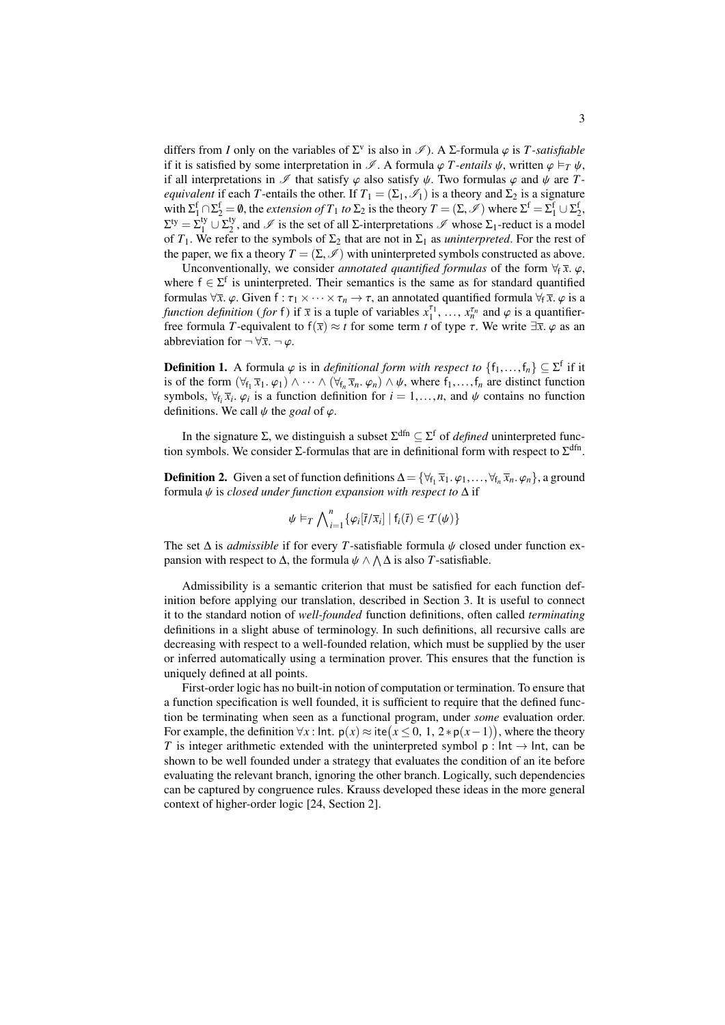differs from *I* only on the variables of  $\Sigma^{\nu}$  is also in  $\mathscr{I}$ ). A  $\Sigma$ -formula  $\varphi$  is *T-satisfiable*<br>if it is satisfied by some interpretation in  $\mathscr{I}$ . A formula  $\varphi$  *T-entails it* written  $\varphi \models_{\tau} \psi$ if it is satisfied by some interpretation in  $\mathscr I$ . A formula  $\varphi$  *T-entails*  $\psi$ , written  $\varphi \vDash_T \psi$ , if all interpretations in  $\mathscr I$  that satisfy  $\varphi$  also satisfy  $\psi$ . Two formulas  $\varphi$  and  $\psi$  are *Tequivalent* if each *T*-entails the other. If  $T_1 = (\Sigma_1, \mathscr{I}_1)$  is a theory and  $\Sigma_2$  is a signature with  $\Sigma_1^f \cap \Sigma_2^f = \emptyset$ , the *extension of*  $T_1$  *to*  $\Sigma_2$  is the theory  $T = (\Sigma, \mathcal{I})$  where  $\Sigma^f = \Sigma_1^f \cup \Sigma_2^f$ ,<br> $\nabla^f$   $\nabla^f$  and  $\emptyset$  is the set of all  $\Sigma$  interpretations  $\emptyset$  where  $\Sigma$ , reduct is a model  $\Sigma^{\text{ty}} = \Sigma_1^{\text{ty}} \cup \Sigma_2^{\text{ty}}$ <sup>19</sup>/<sub>2</sub>, and  $\mathscr I$  is the set of all Σ-interpretations  $\mathscr I$  whose  $\Sigma_1$ -reduct is a model of  $T_1$ . We refer to the symbols of  $\Sigma_2$  that are not in  $\Sigma_1$  as *uninterpreted*. For the rest of the paper, we fix a theory  $T = (\Sigma, \mathcal{I})$  with uninterpreted symbols constructed as above.

Unconventionally, we consider *annotated quantified formulas* of the form  $\forall f \overline{x}$ .  $\varphi$ , where  $f \in \Sigma^f$  is uninterpreted. Their semantics is the same as for standard quantified formulas  $\forall \bar{x}$ .  $\varphi$ . Given  $f : \tau_1 \times \cdots \times \tau_n \to \tau$ , an annotated quantified formula  $\forall_f \bar{x}$ .  $\varphi$  is a *function definition* (*for* f) if  $\overline{x}$  is a tuple of variables  $x_1^{\tau_1}, \ldots, x_n^{\tau_n}$  and  $\varphi$  is a quantifier-<br>free formula *T*-equivalent to  $f(\overline{x}) \approx t$  for some term t of type  $\tau$ . We write  $\exists \overline{x}$  (a as an free formula *T*-equivalent to  $f(\overline{x}) \approx t$  for some term *t* of type  $\tau$ . We write  $\exists \overline{x}$ .  $\varphi$  as an abbreviation for  $\neg \forall \overline{x}$ .  $\neg \varphi$ .

**Definition 1.** A formula  $\varphi$  is in *definitional form with respect to*  $\{f_1, \ldots, f_n\} \subseteq \Sigma^f$  if it is of the form  $(\forall \epsilon \ \overline{x}, \varphi) \wedge \cdots \wedge (\forall \epsilon \ \overline{x}, \varphi) \wedge \psi$  where fear distinct function is of the form  $(\forall f_1 \overline{x}_1 \ldots \varphi_1) \wedge \cdots \wedge (\forall f_n \overline{x}_n \ldots \varphi_n) \wedge \psi$ , where  $f_1, \ldots, f_n$  are distinct function<br>symbols  $\forall f \in \mathcal{F}$ ,  $\omega$  is a function definition for  $i = 1, \ldots, n$  and  $\psi$  contains no function symbols,  $\forall f_i \overline{x}_i$ .  $\varphi_i$  is a function definition for  $i = 1, ..., n$ , and  $\psi$  contains no function definitions. We call  $\psi$  the goal of  $\varphi$ . ϕ*i* definitions. We call  $\psi$  the *goal* of  $\varphi$ .

In the signature  $\Sigma$ , we distinguish a subset  $\Sigma^{\text{dfn}} \subseteq \Sigma^{\text{f}}$  of *defined* uninterpreted function symbols. We consider  $\Sigma$ -formulas that are in definitional form with respect to  $\Sigma^{\text{dfn}}$ .

**Definition 2.** Given a set of function definitions  $\Delta = \{\forall_{f_1} \bar{x}_1, \varphi_1, \ldots, \forall_{f_n} \bar{x}_n, \varphi_n\}$ , a ground formula *ik* is *closed under function expansion with respect to*  $\Delta$  if formula ψ is *closed under function expansion with respect to* <sup>∆</sup> if

$$
\psi \vDash_T \bigwedge_{i=1}^n \{ \varphi_i[\overline{t}/\overline{x}_i] \mid f_i(\overline{t}) \in \mathcal{T}(\psi) \}
$$

The set <sup>∆</sup> is *admissible* if for every *<sup>T</sup>*-satisfiable formula ψ closed under function expansion with respect to  $\Delta$ , the formula  $\psi \wedge \Lambda \Delta$  is also *T*-satisfiable.

Admissibility is a semantic criterion that must be satisfied for each function definition before applying our translation, described in Section [3.](#page-3-0) It is useful to connect it to the standard notion of *well-founded* function definitions, often called *terminating* definitions in a slight abuse of terminology. In such definitions, all recursive calls are decreasing with respect to a well-founded relation, which must be supplied by the user or inferred automatically using a termination prover. This ensures that the function is uniquely defined at all points.

<span id="page-2-0"></span>First-order logic has no built-in notion of computation or termination. To ensure that a function specification is well founded, it is sufficient to require that the defined function be terminating when seen as a functional program, under *some* evaluation order. For example, the definition  $\forall x$ : Int.  $p(x) \approx \text{ite}(x \le 0, 1, 2*p(x-1))$ , where the theory *T* is integer arithmetic extended with the uninterpreted symbol p; Int → Int. can be *T* is integer arithmetic extended with the uninterpreted symbol p :  $Int \rightarrow Int$ , can be shown to be well founded under a strategy that evaluates the condition of an ite before evaluating the relevant branch, ignoring the other branch. Logically, such dependencies can be captured by congruence rules. Krauss developed these ideas in the more general context of higher-order logic [\[24,](#page-15-4) Section 2].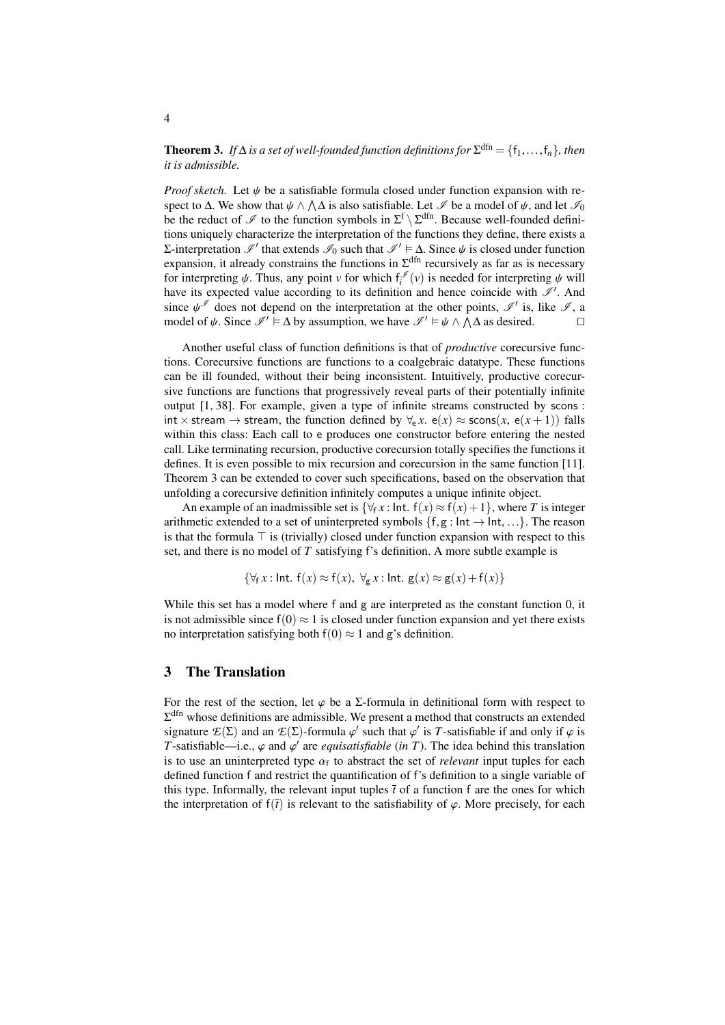**Theorem 3.** *If*  $\Delta$  *is a set of well-founded function definitions for*  $\Sigma^{\text{dfn}} = \{f_1, \ldots, f_n\}$ *, then it is admissible it is admissible.*

*Proof sketch.* Let  $\psi$  be a satisfiable formula closed under function expansion with respect to  $\Delta$ . We show that  $\psi \wedge \Lambda \Delta$  is also satisfiable. Let  $\mathscr I$  be a model of  $\psi$ , and let  $\mathscr I_0$ <br>be the reduct of  $\mathscr I$  to the function symbols in  $\Sigma^f \setminus \Sigma^{dfn}$ . Because well-founded definibe the reduct of  $\mathscr I$  to the function symbols in  $\Sigma^f \setminus \Sigma^{dfn}$ . Because well-founded definitions uniquely characterize the interpretation of the functions they define, there exists a Σ-interpretation  $\mathcal{I}'$  that extends  $\mathcal{I}_0$  such that  $\mathcal{I}' \models \Delta$ . Since  $\psi$  is closed under function expansion it already constrains the functions in  $\sum^{dfn}$  recursively as far as is necessary expansion, it already constrains the functions in  $\Sigma^{\text{dfn}}$  recursively as far as is necessary for interpreting  $\psi$ . Thus, any point *v* for which  $f_i^{\mathscr{I}}(v)$  is needed for interpreting  $\psi$  will have its expected value according to its definition and hence coincide with  $\mathscr{I}'$ . And have its expected value according to its definition and hence coincide with  $\mathscr{I}'$ . And since  $\psi^{\mathscr{I}}$  does not depend on the interpretation at the other points,  $\mathscr{I}'$  is, like  $\mathscr{I}$ , a model of  $\psi$ . Since  $\mathscr{I}' \models \Lambda$  by assumption we have  $\mathscr{I}' \models \psi \land \Lambda$  as desired model of  $\psi$ . Since  $\mathcal{I}' \models \Delta$  by assumption, we have  $\mathcal{I}' \models \psi \land \overline{\Lambda} \Delta$  as desired.

Another useful class of function definitions is that of *productive* corecursive functions. Corecursive functions are functions to a coalgebraic datatype. These functions can be ill founded, without their being inconsistent. Intuitively, productive corecursive functions are functions that progressively reveal parts of their potentially infinite output [\[1,](#page-14-1) [38\]](#page-16-4). For example, given a type of infinite streams constructed by scons : int × stream → stream, the function defined by  $\forall_{e}$  *x*.  $e(x) \approx$  scons(*x*,  $e(x+1)$ ) falls within this class: Each call to e produces one constructor before entering the nested call. Like terminating recursion, productive corecursion totally specifies the functions it defines. It is even possible to mix recursion and corecursion in the same function [\[11\]](#page-15-5). Theorem [3](#page-2-0) can be extended to cover such specifications, based on the observation that unfolding a corecursive definition infinitely computes a unique infinite object.

An example of an inadmissible set is  $\{\forall f \in \mathcal{X} : \text{Int. } f(x) \approx f(x) + 1\}$ , where *T* is integer arithmetic extended to a set of uninterpreted symbols  $\{f, g : \text{Int} \rightarrow \text{Int}, ...\}$ . The reason is that the formula  $\top$  is (trivially) closed under function expansion with respect to this set, and there is no model of *T* satisfying f's definition. A more subtle example is

$$
\{\forall_{f} x : \text{Int. } f(x) \approx f(x), \ \forall_{g} x : \text{Int. } g(x) \approx g(x) + f(x)\}
$$

While this set has a model where f and g are interpreted as the constant function 0, it is not admissible since  $f(0) \approx 1$  is closed under function expansion and yet there exists no interpretation satisfying both  $f(0) \approx 1$  and g's definition.

### <span id="page-3-0"></span>3 The Translation

For the rest of the section, let  $\varphi$  be a  $\Sigma$ -formula in definitional form with respect to  $\Sigma^{\text{dfn}}$  whose definitions are admissible. We present a method that constructs an extended signature  $E(\Sigma)$  and an  $E(\Sigma)$ -formula  $\varphi'$  such that  $\varphi'$  is *T*-satisfiable if and only if  $\varphi$  is *T*-satisfiable if and only if  $\varphi$  is *T*-satisfiable if and  $\varphi'$  are *equisatisfiable* (in *T*). The idea behi *T*-satisfiable—i.e.,  $\varphi$  and  $\varphi'$  are *equisatisfiable* (*in T*). The idea behind this translation is to use an uninterpreted type  $\alpha$ , to abstract the set of *relevant* input tuples for each is to use an uninterpreted type  $\alpha_f$  to abstract the set of *relevant* input tuples for each defined function f and restrict the quantification of  $f$ 's definition to a single variable of defined function f and restrict the quantification of f's definition to a single variable of this type. Informally, the relevant input tuples  $\bar{t}$  of a function f are the ones for which the interpretation of  $f(\bar{t})$  is relevant to the satisfiability of  $\varphi$ . More precisely, for each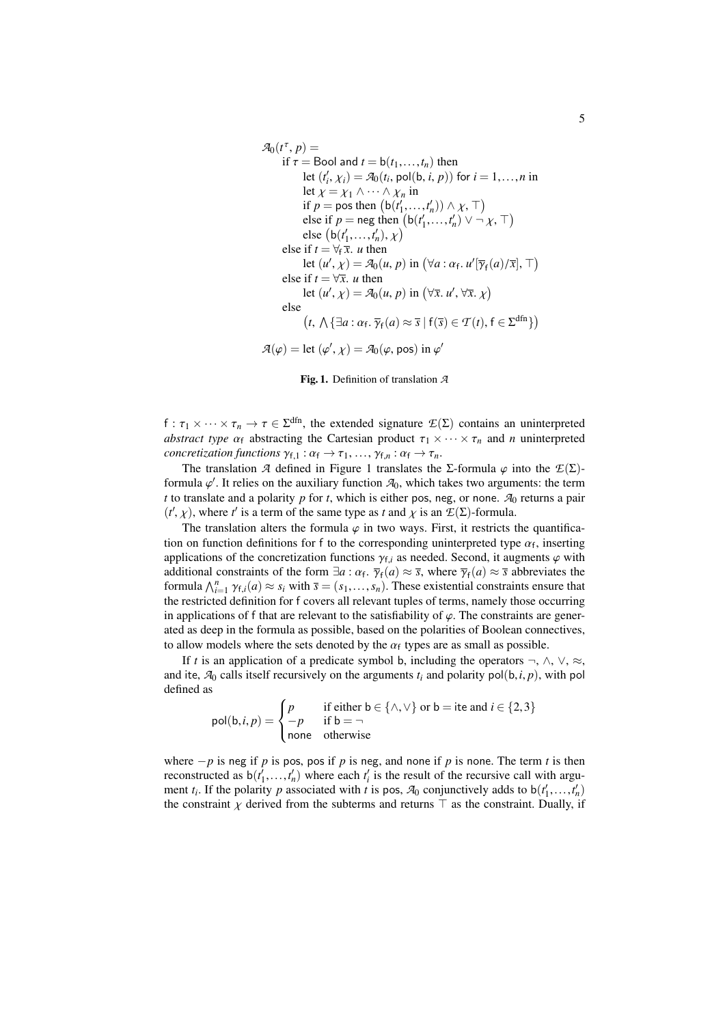$$
\mathcal{A}_0(t^{\tau}, p) =
$$
\nif  $\tau = \text{Bool}$  and  $t = b(t_1, ..., t_n)$  then  
\nlet  $(t'_i, \chi_i) = \mathcal{A}_0(t_i, \text{pol}(b, i, p))$  for  $i = 1, ..., n$  in  
\nlet  $\chi = \chi_1 \land \cdots \land \chi_n$  in  
\nif  $p = \text{pos}$  then  $(b(t'_1, ..., t'_n)) \land \chi, \top$ )  
\nelse if  $p = \text{neg}$  then  $(b(t'_1, ..., t'_n) \lor \neg \chi, \top)$   
\nelse  $(b(t'_1, ..., t'_n), \chi)$   
\nelse if  $t = \forall \tau \bar{x}$ . *u* then  
\nlet  $(u', \chi) = \mathcal{A}_0(u, p)$  in  $(\forall a : \alpha_f. u'[\overline{\gamma}_f(a)/\overline{x}], \top)$   
\nelse if  $t = \forall \bar{x}$ . *u* then  
\nlet  $(u', \chi) = \mathcal{A}_0(u, p)$  in  $(\forall \bar{x}. u', \forall \bar{x}. \chi)$   
\nelse  
\n $(t, \Lambda \{\exists a : \alpha_f, \overline{\gamma}_f(a) \approx \overline{s} \mid f(\overline{s}) \in \mathcal{T}(t), f \in \Sigma^{dfn}\})$   
\n $\mathcal{A}(\varphi) = \text{let } (\varphi', \chi) = \mathcal{A}_0(\varphi, \text{pos})$  in  $\varphi'$ 

<span id="page-4-0"></span>Fig. 1. Definition of translation *A*

f :  $\tau_1 \times \cdots \times \tau_n \to \tau \in \Sigma^{\text{dfn}}$ , the extended signature  $\mathcal{L}(\Sigma)$  contains an uninterpreted abstract type  $\alpha_i$  abstracting the Cartesian product  $\tau_1 \times \cdots \times \tau_n$  and *n* uninterpreted *abstract type*  $\alpha_f$  abstracting the Cartesian product  $\tau_1 \times \cdots \times \tau_n$  and *n* uninterpreted *concretization functions*  $\gamma_{f,1} : \alpha_f \to \tau_1, \ldots, \gamma_{f,n} : \alpha_f \to \tau_n$ .

The translation *A* defined in Figure [1](#page-4-0) translates the Σ-formula  $\varphi$  into the  $E(\Sigma)$ formula  $\varphi'$ . It relies on the auxiliary function  $\mathcal{A}_0$ , which takes two arguments: the term<br>t to translate and a polarity *n* for t, which is either posineg or none.  $\mathcal{A}_0$  returns a pair *t* to translate and a polarity  $p$  for  $t$ , which is either pos, neg, or none.  $A_0$  returns a pair  $(t', \chi)$ , where *t*<sup>*'*</sup> is a term of the same type as *t* and  $\chi$  is an  $E(\Sigma)$ -formula.<br>The translation alters the formula  $\omega$  in two weave. First, it restricts to

The translation alters the formula  $\varphi$  in two ways. First, it restricts the quantification on function definitions for f to the corresponding uninterpreted type  $\alpha_f$ , inserting<br>applications of the concretization functions  $\alpha_f$ , as needed. Second, it augments  $\alpha$  with applications of the concretization functions  $\gamma_{f,i}$  as needed. Second, it augments  $\varphi$  with additional constraints of the form  $\exists a : \alpha_f$ ,  $\overline{\gamma}_f(a) \approx \overline{s}$ , where  $\overline{\gamma}_f(a) \approx \overline{s}$  abbreviates the formula  $\Lambda^n$ ,  $\chi_g(a) \approx s$ , with  $\overline{s} = (s, s)$ . These existential constraints ensure that  $\lim_{n \to \infty} \int_{i=1}^{n} \gamma_{f,i}(a) \approx s_i$  with  $\overline{s} = (s_1, \ldots, s_n)$ . These existential constraints ensure that the restricted definition for f covers all relevant tuples of terms, namely those occurring the restricted definition for f covers all relevant tuples of terms, namely those occurring in applications of f that are relevant to the satisfiability of  $\varphi$ . The constraints are generated as deep in the formula as possible, based on the polarities of Boolean connectives, to allow models where the sets denoted by the  $\alpha_f$  types are as small as possible.<br>
If t is an application of a prodicate symbol b including the operators  $-\Delta$ 

If *t* is an application of a predicate symbol b, including the operators  $\neg$ ,  $\wedge$ ,  $\vee$ ,  $\approx$ , and ite,  $A_0$  calls itself recursively on the arguments  $t_i$  and polarity pol( $b, i, p$ ), with pol defined as

$$
pol(b, i, p) = \begin{cases} p & \text{if either } b \in \{\land, \lor\} \text{ or } b = \text{ite and } i \in \{2, 3\} \\ -p & \text{if } b = \neg \\ \text{none} & \text{otherwise} \end{cases}
$$

where  $-p$  is neg if *p* is pos, pos if *p* is neg, and none if *p* is none. The term *t* is then reconstructed as  $b(t'_1, \ldots, t'_n)$  where each  $t'_i$  is the result of the recursive call with argu-<br>ment *t*. If the polarity *n* associated with *t* is pos. Ze conjunctively adds to  $b(t' - t')$ ment *t<sub>i</sub>*. If the polarity *p* associated with *t* is pos,  $A_0$  conjunctively adds to  $b(t'_1,...,t'_n)$ <br>the constraint  $\chi$  derived from the subterms and returns  $\top$  as the constraint Dually if the constraint  $\chi$  derived from the subterms and returns  $\top$  as the constraint. Dually, if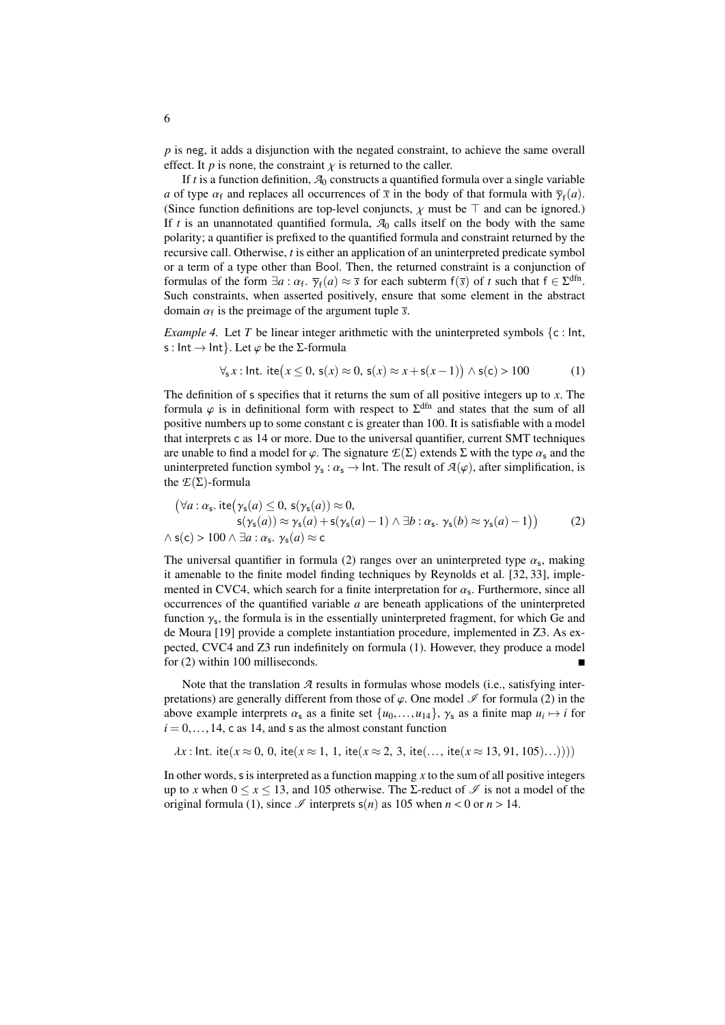*p* is neg, it adds a disjunction with the negated constraint, to achieve the same overall effect. It *p* is none, the constraint  $\chi$  is returned to the caller.

If  $t$  is a function definition,  $A_0$  constructs a quantified formula over a single variable *a* of type  $\alpha_f$  and replaces all occurrences of  $\bar{x}$  in the body of that formula with  $\bar{\gamma}_f(a)$ .<br>(Since function definitions are top-level conjuncts,  $\gamma$  must be  $\bar{\gamma}$  and can be ignored) (Since function definitions are top-level conjuncts,  $\chi$  must be  $\top$  and can be ignored.) If  $t$  is an unannotated quantified formula,  $A_0$  calls itself on the body with the same polarity; a quantifier is prefixed to the quantified formula and constraint returned by the recursive call. Otherwise, *t* is either an application of an uninterpreted predicate symbol or a term of a type other than Bool. Then, the returned constraint is a conjunction of formulas of the form  $\exists a : \alpha_f$ ,  $\overline{\gamma}_f(a) \approx \overline{s}$  for each subterm  $f(\overline{s})$  of *t* such that  $f \in \Sigma^{dfn}$ .<br>Such constraints, when assetted positively ensure that some element in the abstract Such constraints, when asserted positively, ensure that some element in the abstract domain  $\alpha_f$  is the preimage of the argument tuple  $\bar{s}$ .

<span id="page-5-2"></span>*Example 4.* Let *T* be linear integer arithmetic with the uninterpreted symbols  $\{c : \text{Int},\}$ s : Int  $\rightarrow$  Int}. Let  $\varphi$  be the *Σ*-formula

<span id="page-5-1"></span>
$$
\forall_{s} x : \text{Int.} \text{ite}(x \leq 0, \text{s}(x) \approx 0, \text{s}(x) \approx x + \text{s}(x - 1)) \land \text{s}(c) > 100 \tag{1}
$$

The definition of s specifies that it returns the sum of all positive integers up to *x*. The formula  $\varphi$  is in definitional form with respect to  $\Sigma^{\text{dfn}}$  and states that the sum of all nositive numbers up to some constant c is greater than 100. It is satisfiable with a model positive numbers up to some constant c is greater than 100. It is satisfiable with a model that interprets c as 14 or more. Due to the universal quantifier, current SMT techniques are unable to find a model for  $\varphi$ . The signature  $\mathcal{E}(\Sigma)$  extends  $\Sigma$  with the type  $\alpha_s$  and the uninterpreted function symbol  $\gamma_s : \alpha_s \to \text{Int.}$  The result of  $\mathcal{A}(\varphi)$ , after simplification, is the  $\mathcal{F}(\Sigma)$ -formula the  $E(\Sigma)$ -formula

<span id="page-5-0"></span>
$$
(\forall a: \alpha_{s}. \text{ite}(\gamma_{s}(a) \leq 0, s(\gamma_{s}(a)) \approx 0,s(\gamma_{s}(a)) \approx \gamma_{s}(a) + s(\gamma_{s}(a) - 1) \land \exists b: \alpha_{s}. \gamma_{s}(b) \approx \gamma_{s}(a) - 1))
$$
(2)  

$$
\land s(c) > 100 \land \exists a: \alpha_{s}. \gamma_{s}(a) \approx c
$$

The universal quantifier in formula [\(2\)](#page-5-0) ranges over an uninterpreted type  $\alpha_s$ , making<br>it amenable to the finite model finding techniques by Reynolds et al. [32, 33], impleit amenable to the finite model finding techniques by Reynolds et al. [\[32,](#page-16-1) [33\]](#page-16-2), implemented in CVC4, which search for a finite interpretation for  $\alpha_s$ . Furthermore, since all occurrences of the quantified variable  $\alpha$  are beneath applications of the uninterpreted occurrences of the quantified variable *a* are beneath applications of the uninterpreted function  $\gamma_s$ , the formula is in the essentially uninterpreted fragment, for which Ge and  $\gamma_s$ . The formulation procedure implemented in  $Z_3$ . As exde Moura [\[19\]](#page-15-1) provide a complete instantiation procedure, implemented in Z3. As expected, CVC4 and Z3 run indefinitely on formula [\(1\)](#page-5-1). However, they produce a model for [\(2\)](#page-5-0) within 100 milliseconds.

Note that the translation *A* results in formulas whose models (i.e., satisfying interpretations) are generally different from those of  $\varphi$ . One model  $\mathscr I$  for formula [\(2\)](#page-5-0) in the above example interprets  $\alpha_s$  as a finite set  $\{u_0, \ldots, u_{14}\}$ ,  $\gamma_s$  as a finite map  $u_i \mapsto i$  for  $i = 0$  and  $s$  as the almost constant function  $i = 0, \ldots, 14$ , c as 14, and s as the almost constant function

 $\lambda x$ : Int. ite( $x \approx 0, 0$ , ite( $x \approx 1, 1$ , ite( $x \approx 2, 3$ , ite(..., ite( $x \approx 13, 91, 105$ )...))))

In other words,  $s$  is interpreted as a function mapping  $x$  to the sum of all positive integers up to *x* when  $0 \le x \le 13$ , and 105 otherwise. The *Σ*-reduct of  $\mathcal{I}$  is not a model of the original formula [\(1\)](#page-5-1), since  $\mathcal I$  interprets  $s(n)$  as 105 when  $n < 0$  or  $n > 14$ .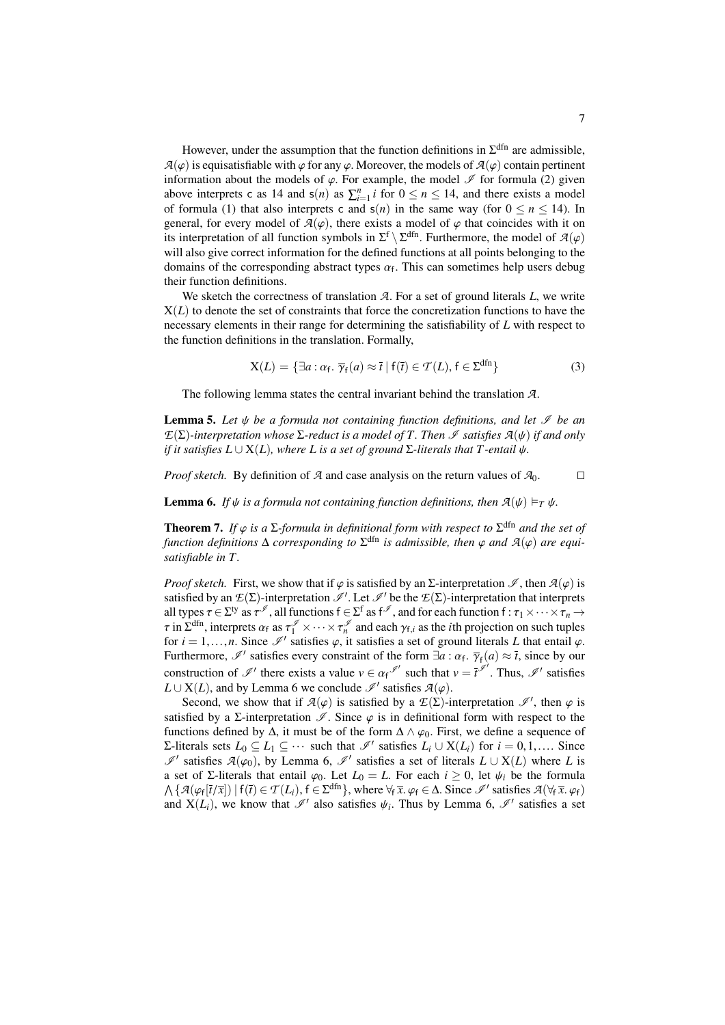However, under the assumption that the function definitions in  $\Sigma^{\text{dfn}}$  are admissible,  $A(\varphi)$  is equisatisfiable with  $\varphi$  for any  $\varphi$ . Moreover, the models of  $A(\varphi)$  contain pertinent information about the models of  $\varphi$ . For example, the model  $\mathscr I$  for formula [\(2\)](#page-5-0) given above interprets c as 14 and  $s(n)$  as  $\sum_{i=1}^{n} i$  for  $0 \le n \le 14$ , and there exists a model of formula [\(1\)](#page-5-1) that also interprets c and  $s(n)$  in the same way (for  $0 \le n \le 14$ ). In general, for every model of  $\mathcal{A}(\varphi)$ , there exists a model of  $\varphi$  that coincides with it on its interpretation of all function symbols in  $\Sigma^f \setminus \Sigma^{dfn}$ . Furthermore, the model of  $\mathcal{A}(\varphi)$  will also give correct information for the defined functions at all points belonging to the will also give correct information for the defined functions at all points belonging to the domains of the corresponding abstract types  $\alpha_f$ . This can sometimes help users debug<br>their function definitions their function definitions.

We sketch the correctness of translation *A*. For a set of ground literals *L*, we write  $X(L)$  to denote the set of constraints that force the concretization functions to have the necessary elements in their range for determining the satisfiability of *L* with respect to the function definitions in the translation. Formally,

<span id="page-6-2"></span>
$$
X(L) = \{ \exists a : \alpha_f, \ \overline{\gamma}_f(a) \approx \overline{t} \mid f(\overline{t}) \in \mathcal{T}(L), \ f \in \Sigma^{\text{dfn}} \}
$$
 (3)

The following lemma states the central invariant behind the translation *A*.

**Lemma 5.** Let *ψ* be a formula not containing function definitions, and let *∮* be an *E*( $Σ$ )-interpretation whose  $Σ$ -reduct is a model of  $T$ . Then  $I$  satisfies  $A(ψ)$  if and only *if it satisfies*  $L \cup X(L)$ *, where*  $L$  *is a set of ground*  $\Sigma$ -literals that  $T$ -entail  $\psi$ *.* 

*Proof sketch.* By definition of *A* and case analysis on the return values of  $A_0$ .

<span id="page-6-0"></span>**Lemma 6.** *If*  $\psi$  *is a formula not containing function definitions, then*  $A(\psi) \models_T \psi$ .

<span id="page-6-1"></span>**Theorem 7.** *If*  $\varphi$  *is a*  $\Sigma$ *-formula in definitional form with respect to*  $\Sigma^{\text{dfn}}$  *and the set of function definitions* A corresponding to  $\Sigma^{\text{dfn}}$  *is admissible, then*  $\varphi$  and  $\mathcal{A}(\varphi)$  are equi*function definitions*  $\Delta$  *corresponding to*  $\Sigma^{\text{dfn}}$  *is admissible, then*  $\varphi$  *and*  $\mathcal{A}(\varphi)$  *are equi-*<br>satisfiable in T *satisfiable in T.*

*Proof sketch.* First, we show that if  $\varphi$  is satisfied by an  $\Sigma$ -interpretation  $\mathscr{I}$ , then  $\mathcal{A}(\varphi)$  is satisfied by an  $\mathcal{E}(\Sigma)$ -interpretation  $\mathcal{I}'$ . Let  $\mathcal{I}'$  be the  $\mathcal{E}(\Sigma)$ -interpretation that interprets all types  $\tau \in \Sigma^{ty}$  as  $\tau^{\mathscr{I}}$ , all functions  $f \in \Sigma^{f}$  as  $f^{\mathscr{I}}$ , and for each function  $f : \tau_1 \times \cdots \times \tau_n \to$ <br>The position on such tuples  $\tau$  in  $\Sigma^{\text{dfn}}$ , interprets  $\alpha_f$  as  $\tau_1^{\mathscr{I}} \times \cdots \times \tau_n^{\mathscr{I}}$  and each  $\gamma_{f,i}$  as the *i*<sup>th</sup> projection on such tuples<br>for  $i-1$  and  $\gamma$  is a set of ground literals *I* that entail  $\alpha$ for *i* = 1,...,*n*. Since  $\mathcal{I}'$  satisfies  $\varphi$ , it satisfies a set of ground literals *L* that entail  $\varphi$ .<br>Furthermore,  $\mathcal{I}'$  satisfies every constraint of the form  $\exists a : \alpha_f$ ,  $\overline{\gamma}_f(a) \approx \overline{t}$ , since by our Future inore,  $\mathcal{F}$  satisfies every construction of the form  $\exists a : a_f : \gamma_f(a) \approx t$ , since by our construction of  $\mathcal{I}'$  there exists a value  $v \in \alpha_f \mathcal{I}'$  such that  $v = t^{\mathcal{I}'}$ . Thus,  $\mathcal{I}'$  satisfies  $I \cup X(I)$  and b *L* ∪ X(*L*), and by Lemma [6](#page-6-0) we conclude  $\mathcal{I}'$  satisfies  $\mathcal{A}(\varphi)$ .<br>Second, we show that if  $\mathcal{A}(\varphi)$  is satisfied by a  $\mathcal{F}(\Sigma)$ .

Second, we show that if  $\mathcal{A}(\varphi)$  is satisfied by a  $\mathcal{E}(\Sigma)$ -interpretation  $\mathcal{I}'$ , then  $\varphi$  is set to be set to the second by a  $\Sigma$ -interpretation  $\mathcal{I}'$ . Since  $\varphi$  is in definitional form with respect to satisfied by a  $\Sigma$ -interpretation  $\mathscr{I}$ . Since  $\varphi$  is in definitional form with respect to the functions defined by  $\Delta$ , it must be of the form  $\Delta \wedge \varphi_0$ . First, we define a sequence of  $Σ$ -literals sets  $L_0 ⊆ L_1 ⊆ ⋯$  such that  $\mathscr{I}'$  satisfies  $L_i ∪ X(L_i)$  for  $i = 0, 1, ...$  Since  $\mathscr{I}'$  satisfies  $β$  (satisfies a set of literals  $I + X(I)$  where  $I$  is I' satisfies  $A(\varphi_0)$ , by Lemma [6,](#page-6-0) I' satisfies a set of literals  $L \cup X(L)$  where *L* is a set of Σ-literals that entail  $\varphi_0$ . Let  $L_0 = L$ . For each  $i \geq 0$ , let  $\psi_i$  be the formula  $\wedge$  { $\mathcal{A}(\varphi_f[\vec{t}/\vec{x}]) | f(\vec{t}) \in \mathcal{T}(L_i), f \in \Sigma^{\text{dfn}}\}$ , where  $\forall_f \bar{x}, \varphi_f \in \Delta$ . Since  $\mathcal{I}'$  satisfies  $\mathcal{A}(\forall_f \bar{x}, \varphi_f)$ <br>and  $X(I_i)$ , we know that  $\mathcal{I}'$  also satisfies  $\nu_i$ . Thus by Lemma 6,  $\mathcal{I}'$  satisf and  $X(L_i)$ , we know that  $\mathcal{I}'$  also satisfies  $\psi_i$ . Thus by Lemma [6,](#page-6-0)  $\mathcal{I}'$  satisfies a set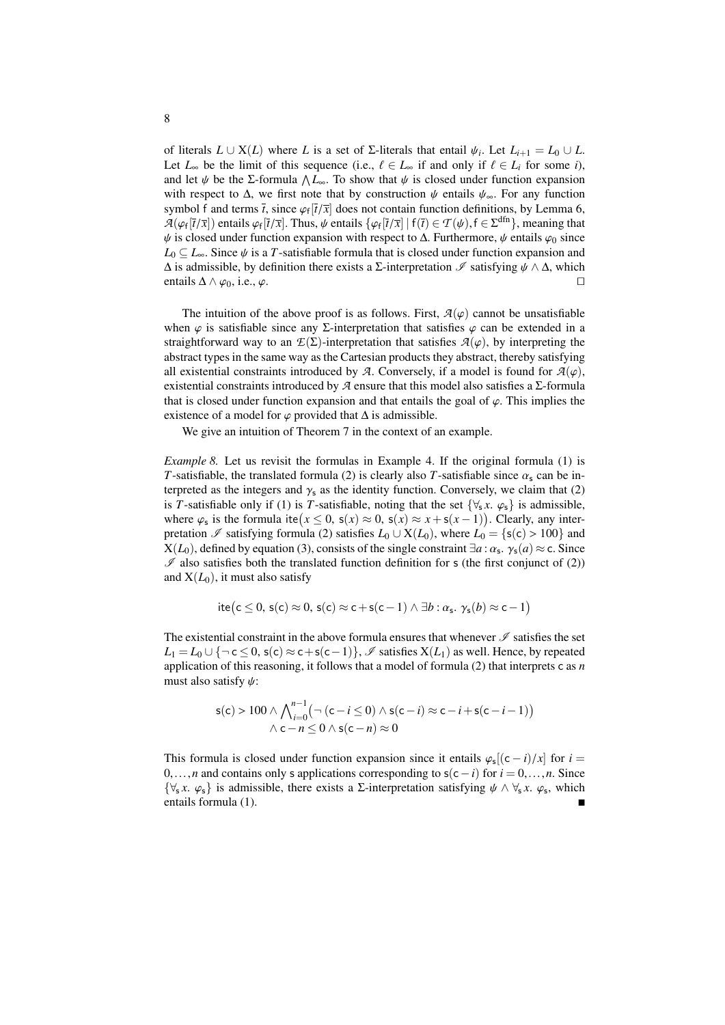of literals *L* ∪ X(*L*) where *L* is a set of Σ-literals that entail  $\psi_i$ . Let  $L_{i+1} = L_0 ∪ L$ .<br>Let *L* be the limit of this sequence (i.e.  $l \in L$  if and only if  $l \in L$  for some *i*) Let  $L_{\infty}$  be the limit of this sequence (i.e.,  $\ell \in L_{\infty}$  if and only if  $\ell \in L_i$  for some *i*), and let  $\psi$  be the *Σ*-formula  $\Lambda L_{\infty}$ . To show that  $\psi$  is closed under function expansion with respect to  $\Lambda$ , we first note that by construction  $\psi$  entails  $\psi$ . For any function with respect to  $\Delta$ , we first note that by construction  $\psi$  entails  $\psi_{\infty}$ . For any function symbol f and terms  $\bar{t}$ , since  $\varphi_f[\bar{t}/\bar{x}]$  does not contain function definitions, by Lemma [6,](#page-6-0)<br> $\mathcal{A}(c_5[\bar{t}/\bar{x}])$  entails  $(c_5[\bar{t}/\bar{x}])$ . Thus,  $\psi$  entails  $f(c_5[\bar{t}/\bar{x}])$   $f(\bar{t}) \in \mathcal{T}(\psi)$ ,  $f \in \mathcal{S}^{\text{dfn}}$  $A(\varphi_f[\vec{t}/\vec{x}])$  entails  $\varphi_f[\vec{t}/\vec{x}]$ . Thus,  $\psi$  entails  $\{\varphi_f[\vec{t}/\vec{x}] \mid f(\vec{t}) \in \mathcal{T}(\psi), f \in \Sigma^{\text{dfn}}\}$ , meaning that  $\psi$  is closed under function expansion with respect to  $\Lambda$ . Furthermore,  $\psi$  entails  $\varphi_0$   $\psi$  is closed under function expansion with respect to  $\Delta$ . Furthermore,  $\psi$  entails  $\varphi_0$  since  $L_0 \subseteq L_{\infty}$ . Since  $\psi$  is a *T*-satisfiable formula that is closed under function expansion and  $\Delta$  is admissible, by definition there exists a Σ-interpretation  $\Im$  satisfying  $\psi \wedge \Delta$ , which entails  $\Delta \wedge \varphi_0$ , i.e.,  $\varphi$ . entails  $\Delta \wedge \varphi_0$ , i.e.,  $\varphi$ .

The intuition of the above proof is as follows. First,  $A(\varphi)$  cannot be unsatisfiable when  $\varphi$  is satisfiable since any Σ-interpretation that satisfies  $\varphi$  can be extended in a straightforward way to an  $E(\Sigma)$ -interpretation that satisfies  $A(\varphi)$ , by interpreting the abstract types in the same way as the Cartesian products they abstract, thereby satisfying all existential constraints introduced by *A*. Conversely, if a model is found for  $A(\varphi)$ , existential constraints introduced by  $\mathcal A$  ensure that this model also satisfies a  $\Sigma$ -formula that is closed under function expansion and that entails the goal of  $\varphi$ . This implies the existence of a model for  $\varphi$  provided that  $\Delta$  is admissible.

We give an intuition of Theorem [7](#page-6-1) in the context of an example.

*Example 8.* Let us revisit the formulas in Example [4.](#page-5-2) If the original formula [\(1\)](#page-5-1) is *T*-satisfiable, the translated formula [\(2\)](#page-5-0) is clearly also *T*-satisfiable since  $\alpha_s$  can be interpreted as the integers and  $\gamma_s$  as the identity function. Conversely, we claim that [\(2\)](#page-5-0) is *T*-satisfiable only if [\(1\)](#page-5-1) is *T*-satisfiable, noting that the set  $\{\forall_{s} x. \varphi_{s}\}$  is admissible, where  $\varphi_s$  is the formula ite $(x \le 0, s(x) \approx 0, s(x) \approx x + s(x-1))$ . Clearly, any inter-<br>pretation  $\mathcal{I}_s$  satisfying formula (2) satisfies  $I_0 \cup X(I_0)$  where  $I_0 = Is(c) > 100$  and pretation  $\mathscr I$  satisfying formula [\(2\)](#page-5-0) satisfies  $L_0 \cup X(L_0)$ , where  $L_0 = \{s(c) > 100\}$  and  $X(L_0)$ , defined by equation [\(3\)](#page-6-2), consists of the single constraint  $\exists a : \alpha_s$ .  $\gamma_s(a) \approx c$ . Since  $\emptyset$  also satisfies both the translated function definition for s (the first conjunct of (2))  $\mathscr I$  also satisfies both the translated function definition for s (the first conjunct of [\(2\)](#page-5-0)) and  $X(L_0)$ , it must also satisfy

ite(c 
$$
\leq
$$
 0, s(c)  $\approx$  0, s(c)  $\approx$  c + s(c-1)  $\land \exists b : \alpha_s$ .  $\gamma_s(b) \approx$  c - 1)

The existential constraint in the above formula ensures that whenever  $\mathscr I$  satisfies the set  $L_1 = L_0 \cup \{\neg \text{ c} < 0, \text{ s}(c) \approx \text{ c} + \text{ s}(c-1)\}\,$ ,  $\mathscr{I}$  satisfies  $X(L_1)$  as well. Hence, by repeated application of this reasoning, it follows that a model of formula [\(2\)](#page-5-0) that interprets c as *n* must also satisfy  $\psi$ :

$$
s(c) > 100 \wedge \bigwedge_{i=0}^{n-1} \bigl( \neg (c - i \le 0) \wedge s(c - i) \approx c - i + s(c - i - 1) \bigr) \wedge c - n \le 0 \wedge s(c - n) \approx 0
$$

This formula is closed under function expansion since it entails  $\varphi_s[(c-i)/x]$  for  $i = 0$ <br>for *i* and contains only s applications corresponding to  $s(c-i)$  for  $i = 0$ , as Since <sup>0</sup>,...,*<sup>n</sup>* and contains only <sup>s</sup> applications corresponding to <sup>s</sup>(c−*i*) for *<sup>i</sup>* <sup>=</sup> <sup>0</sup>,...,*n*. Since { $\forall$ <sub>s</sub> *x*. *ϕ*<sub>s</sub>} is admissible, there exists a Σ-interpretation satisfying  $\psi \land \forall$ <sub>s</sub> *x*. *ϕ*<sub>s</sub>, which entails formula (1) entails formula [\(1\)](#page-5-1).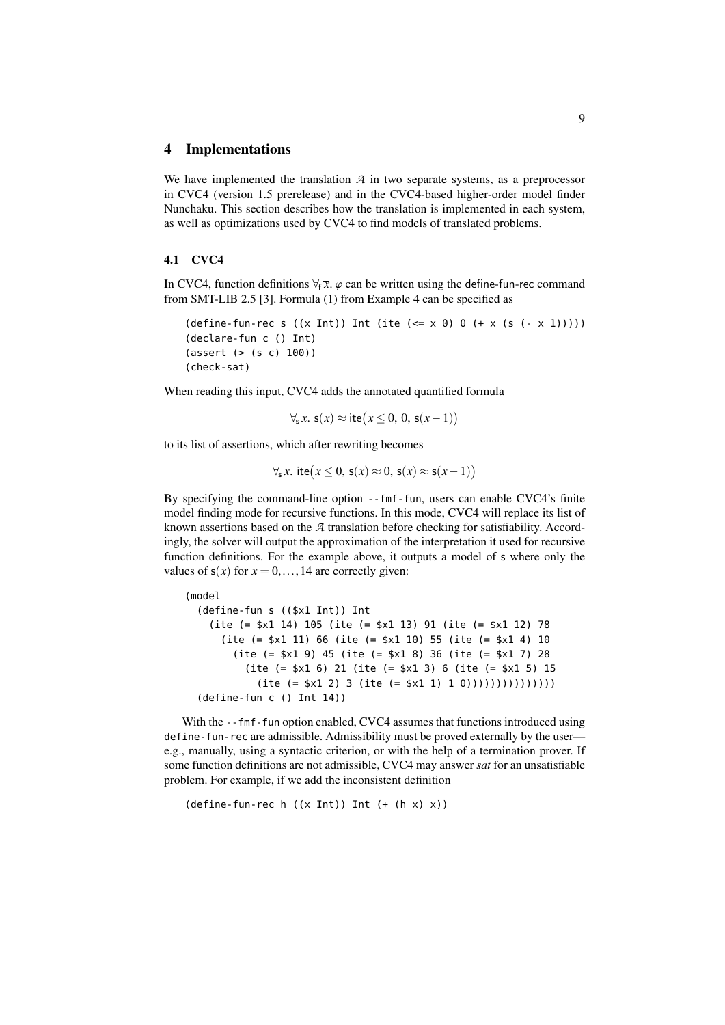#### <span id="page-8-0"></span>4 Implementations

We have implemented the translation  $A$  in two separate systems, as a preprocessor in CVC4 (version 1.5 prerelease) and in the CVC4-based higher-order model finder Nunchaku. This section describes how the translation is implemented in each system, as well as optimizations used by CVC4 to find models of translated problems.

#### <span id="page-8-1"></span>4.1 CVC4

In CVC4, function definitions  $\forall_f \bar{x}$ .  $\varphi$  can be written using the define-fun-rec command from SMT-LIB 2.5 [\[3\]](#page-14-0). Formula [\(1\)](#page-5-1) from Example [4](#page-5-2) can be specified as

```
(\text{define-fun-rec s } ((x Int)) \text{ Int } (\text{ite } (<= x 0) 0 (+ x (s (- x 1))))))(declare-fun c () Int)
(assert (> (s c) 100))
(check-sat)
```
When reading this input, CVC4 adds the annotated quantified formula

$$
\forall_{s} x. s(x) \approx \text{ite}(x \leq 0, 0, s(x-1))
$$

to its list of assertions, which after rewriting becomes

$$
\forall_{s} x. \text{ite}(x \leq 0, s(x) \approx 0, s(x) \approx s(x-1))
$$

By specifying the command-line option --fmf-fun, users can enable CVC4's finite model finding mode for recursive functions. In this mode, CVC4 will replace its list of known assertions based on the *A* translation before checking for satisfiability. Accordingly, the solver will output the approximation of the interpretation it used for recursive function definitions. For the example above, it outputs a model of s where only the values of  $s(x)$  for  $x = 0, \ldots, 14$  are correctly given:

```
(model
 (define-fun s (($x1 Int)) Int
   (ite (= $x1 14) 105 (ite (= $x1 13) 91 (ite (= $x1 12) 78
     (ite (= $x1 11) 66 (ite (= $x1 10) 55 (ite (= $x1 4) 10
       (ite (= $x1 9) 45 (ite (= $x1 8) 36 (ite (= $x1 7) 28
         (ite (= $x1 6) 21 (ite (= $x1 3) 6 (ite (= $x1 5) 15
           (ite (= $x1 2) 3 (ite (= $x1 1) 1 0))))))))))(define-fun c () Int 14))
```
With the --fmf-fun option enabled, CVC4 assumes that functions introduced using define-fun-rec are admissible. Admissibility must be proved externally by the user e.g., manually, using a syntactic criterion, or with the help of a termination prover. If some function definitions are not admissible, CVC4 may answer *sat* for an unsatisfiable problem. For example, if we add the inconsistent definition

```
(define-time-function-rec h ((x Int)) Int (+ (h x) x))
```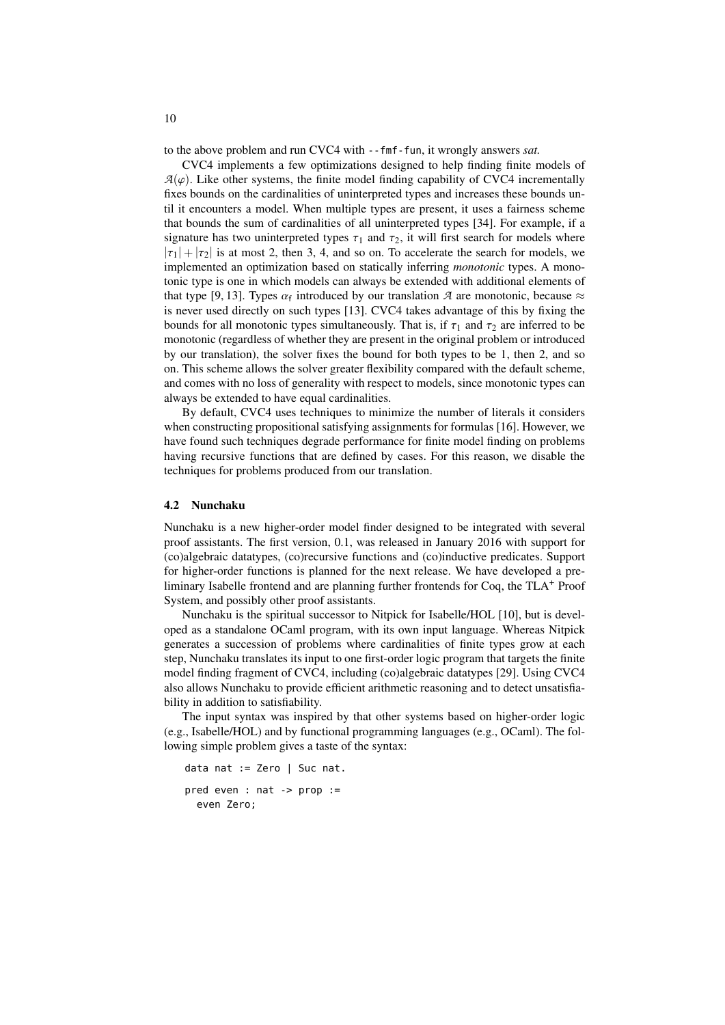to the above problem and run CVC4 with --fmf-fun, it wrongly answers *sat.*

CVC4 implements a few optimizations designed to help finding finite models of  $A(\varphi)$ . Like other systems, the finite model finding capability of CVC4 incrementally fixes bounds on the cardinalities of uninterpreted types and increases these bounds until it encounters a model. When multiple types are present, it uses a fairness scheme that bounds the sum of cardinalities of all uninterpreted types [\[34\]](#page-16-5). For example, if a signature has two uninterpreted types  $\tau_1$  and  $\tau_2$ , it will first search for models where  $|\tau_1| + |\tau_2|$  is at most 2, then 3, 4, and so on. To accelerate the search for models, we implemented an optimization based on statically inferring *monotonic* types. A monotonic type is one in which models can always be extended with additional elements of that type [\[9,](#page-15-6) [13\]](#page-15-7). Types  $\alpha_f$  introduced by our translation *A* are monotonic, because  $\approx$ <br>is never used directly on such types [13]. CVC4 takes advantage of this by fixing the is never used directly on such types [\[13\]](#page-15-7). CVC4 takes advantage of this by fixing the bounds for all monotonic types simultaneously. That is, if  $\tau_1$  and  $\tau_2$  are inferred to be monotonic (regardless of whether they are present in the original problem or introduced by our translation), the solver fixes the bound for both types to be 1, then 2, and so on. This scheme allows the solver greater flexibility compared with the default scheme, and comes with no loss of generality with respect to models, since monotonic types can always be extended to have equal cardinalities.

By default, CVC4 uses techniques to minimize the number of literals it considers when constructing propositional satisfying assignments for formulas [\[16\]](#page-15-8). However, we have found such techniques degrade performance for finite model finding on problems having recursive functions that are defined by cases. For this reason, we disable the techniques for problems produced from our translation.

#### 4.2 Nunchaku

Nunchaku is a new higher-order model finder designed to be integrated with several proof assistants. The first version, 0.1, was released in January 2016 with support for (co)algebraic datatypes, (co)recursive functions and (co)inductive predicates. Support for higher-order functions is planned for the next release. We have developed a preliminary Isabelle frontend and are planning further frontends for Coq, the TLA<sup>+</sup> Proof System, and possibly other proof assistants.

Nunchaku is the spiritual successor to Nitpick for Isabelle/HOL [\[10\]](#page-15-9), but is developed as a standalone OCaml program, with its own input language. Whereas Nitpick generates a succession of problems where cardinalities of finite types grow at each step, Nunchaku translates its input to one first-order logic program that targets the finite model finding fragment of CVC4, including (co)algebraic datatypes [\[29\]](#page-16-6). Using CVC4 also allows Nunchaku to provide efficient arithmetic reasoning and to detect unsatisfiability in addition to satisfiability.

The input syntax was inspired by that other systems based on higher-order logic (e.g., Isabelle/HOL) and by functional programming languages (e.g., OCaml). The following simple problem gives a taste of the syntax:

```
data nat := Zero | Suc nat.
pred even : nat -> prop :=
  even Zero;
```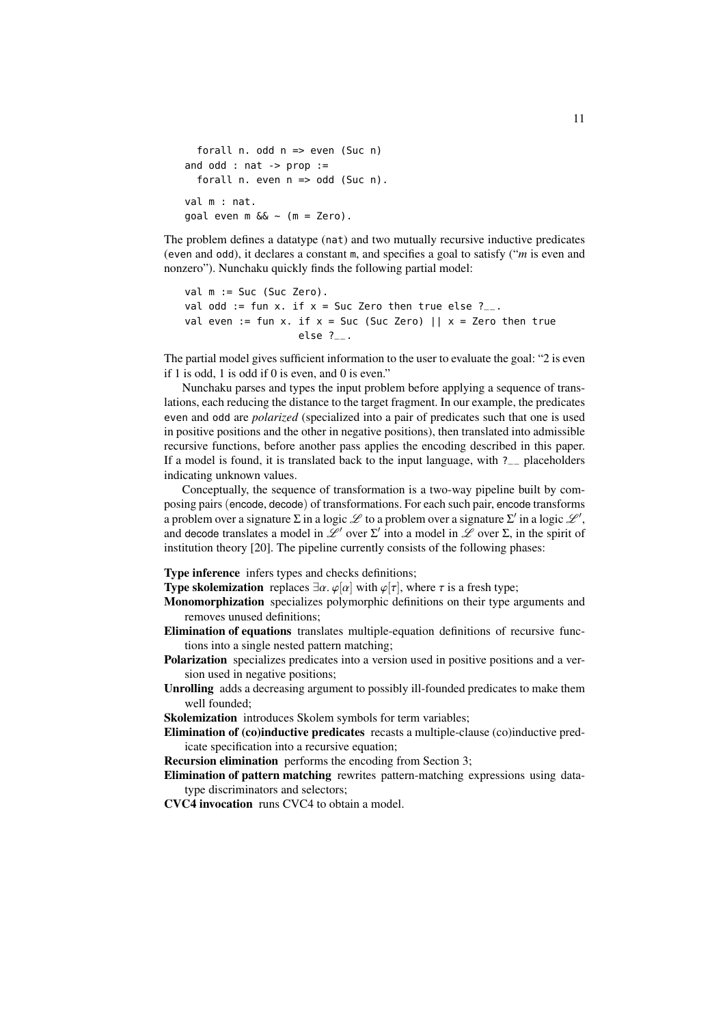```
forall n. odd n => even (Suc n)
and odd : nat -> prop :=
  forall n. even n => odd (Suc n).
val m : nat.
goal even m \&< (m = Zero).
```
The problem defines a datatype (nat) and two mutually recursive inductive predicates (even and odd), it declares a constant m, and specifies a goal to satisfy ("*m* is even and nonzero"). Nunchaku quickly finds the following partial model:

```
val m := Suc (Suc Zero).
val odd := fun x. if x = Suc Zero then true else ?_{--}.
val even := fun x. if x = Suc (Suc Zero) || x = Zero then true
                   else ?__.
```
The partial model gives sufficient information to the user to evaluate the goal: "2 is even if 1 is odd, 1 is odd if 0 is even, and 0 is even."

Nunchaku parses and types the input problem before applying a sequence of translations, each reducing the distance to the target fragment. In our example, the predicates even and odd are *polarized* (specialized into a pair of predicates such that one is used in positive positions and the other in negative positions), then translated into admissible recursive functions, before another pass applies the encoding described in this paper. If a model is found, it is translated back to the input language, with ?\_\_ placeholders indicating unknown values.

Conceptually, the sequence of transformation is a two-way pipeline built by composing pairs (encode, decode) of transformations. For each such pair, encode transforms a problem over a signature  $\Sigma$  in a logic  $\mathscr L$  to a problem over a signature  $\Sigma'$  in a logic  $\mathscr L',$ and decode translates a model in  $\mathcal{L}^{\prime}$  over  $\Sigma^{\prime}$  into a model in  $\mathcal{L}$  over  $\Sigma$ , in the spirit of institution theory [\[20\]](#page-15-10). The pipeline currently consists of the following phases:

Type inference infers types and checks definitions;

**Type skolemization** replaces  $\exists \alpha$ .  $\varphi[\alpha]$  with  $\varphi[\tau]$ , where  $\tau$  is a fresh type;

- Monomorphization specializes polymorphic definitions on their type arguments and removes unused definitions;
- Elimination of equations translates multiple-equation definitions of recursive functions into a single nested pattern matching;
- Polarization specializes predicates into a version used in positive positions and a version used in negative positions;
- Unrolling adds a decreasing argument to possibly ill-founded predicates to make them well founded;

Skolemization introduces Skolem symbols for term variables;

Elimination of (co)inductive predicates recasts a multiple-clause (co)inductive predicate specification into a recursive equation;

Recursion elimination performs the encoding from Section [3;](#page-3-0)

Elimination of pattern matching rewrites pattern-matching expressions using datatype discriminators and selectors;

CVC4 invocation runs CVC4 to obtain a model.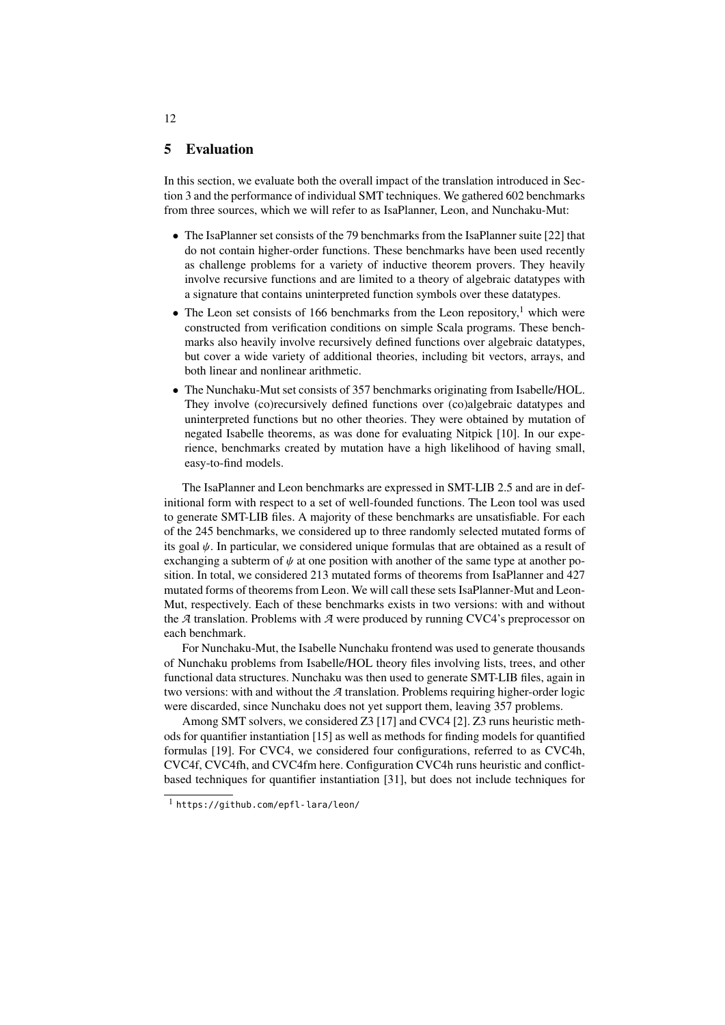### <span id="page-11-0"></span>5 Evaluation

In this section, we evaluate both the overall impact of the translation introduced in Section [3](#page-3-0) and the performance of individual SMT techniques. We gathered 602 benchmarks from three sources, which we will refer to as IsaPlanner, Leon, and Nunchaku-Mut:

- The IsaPlanner set consists of the 79 benchmarks from the IsaPlanner suite [\[22\]](#page-15-2) that do not contain higher-order functions. These benchmarks have been used recently as challenge problems for a variety of inductive theorem provers. They heavily involve recursive functions and are limited to a theory of algebraic datatypes with a signature that contains uninterpreted function symbols over these datatypes.
- The Leon set consists of [1](#page-11-1)66 benchmarks from the Leon repository,<sup>1</sup> which were constructed from verification conditions on simple Scala programs. These benchmarks also heavily involve recursively defined functions over algebraic datatypes, but cover a wide variety of additional theories, including bit vectors, arrays, and both linear and nonlinear arithmetic.
- The Nunchaku-Mut set consists of 357 benchmarks originating from Isabelle/HOL. They involve (co)recursively defined functions over (co)algebraic datatypes and uninterpreted functions but no other theories. They were obtained by mutation of negated Isabelle theorems, as was done for evaluating Nitpick [\[10\]](#page-15-9). In our experience, benchmarks created by mutation have a high likelihood of having small, easy-to-find models.

The IsaPlanner and Leon benchmarks are expressed in SMT-LIB 2.5 and are in definitional form with respect to a set of well-founded functions. The Leon tool was used to generate SMT-LIB files. A majority of these benchmarks are unsatisfiable. For each of the 245 benchmarks, we considered up to three randomly selected mutated forms of its goal  $\psi$ . In particular, we considered unique formulas that are obtained as a result of exchanging a subterm of  $\psi$  at one position with another of the same type at another position. In total, we considered 213 mutated forms of theorems from IsaPlanner and 427 mutated forms of theorems from Leon. We will call these sets IsaPlanner-Mut and Leon-Mut, respectively. Each of these benchmarks exists in two versions: with and without the *A* translation. Problems with *A* were produced by running CVC4's preprocessor on each benchmark.

For Nunchaku-Mut, the Isabelle Nunchaku frontend was used to generate thousands of Nunchaku problems from Isabelle/HOL theory files involving lists, trees, and other functional data structures. Nunchaku was then used to generate SMT-LIB files, again in two versions: with and without the *A* translation. Problems requiring higher-order logic were discarded, since Nunchaku does not yet support them, leaving 357 problems.

Among SMT solvers, we considered Z3 [\[17\]](#page-15-11) and CVC4 [\[2\]](#page-14-2). Z3 runs heuristic methods for quantifier instantiation [\[15\]](#page-15-0) as well as methods for finding models for quantified formulas [\[19\]](#page-15-1). For CVC4, we considered four configurations, referred to as CVC4h, CVC4f, CVC4fh, and CVC4fm here. Configuration CVC4h runs heuristic and conflictbased techniques for quantifier instantiation [\[31\]](#page-16-0), but does not include techniques for

12

<span id="page-11-1"></span><sup>1</sup> <https://github.com/epfl-lara/leon/>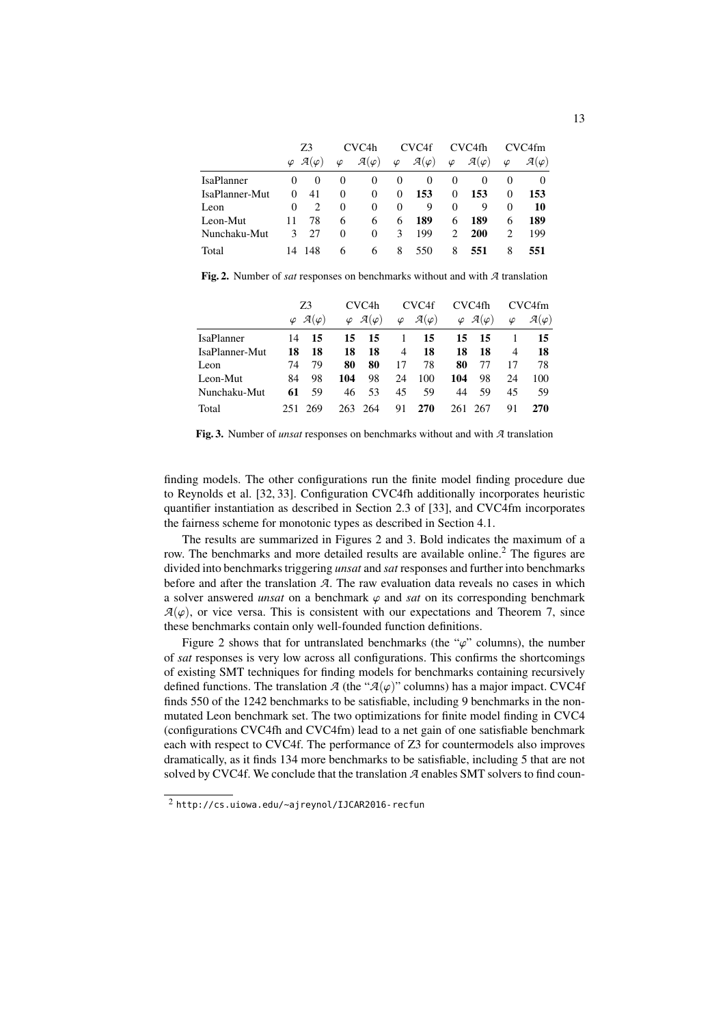|                | Z3     |                                  | CVC <sub>4</sub> h |                        | CVC <sub>4f</sub> |                        | CVC4fh    |                        | CVC4fm         |                        |
|----------------|--------|----------------------------------|--------------------|------------------------|-------------------|------------------------|-----------|------------------------|----------------|------------------------|
|                |        | $\varphi$ $\mathcal{A}(\varphi)$ | $\varphi$          | $\mathcal{A}(\varphi)$ | $\varphi$         | $\mathcal{A}(\varphi)$ | $\varphi$ | $\mathcal{A}(\varphi)$ | $\varphi$      | $\mathcal{A}(\varphi)$ |
| IsaPlanner     | $_{0}$ | $\theta$                         | $\theta$           | $\theta$               | $\theta$          | $\theta$               | $\theta$  | $\theta$               | $\theta$       | 0                      |
| IsaPlanner-Mut | 0      | 41                               | 0                  | $\Omega$               | 0                 | 153                    | $\Omega$  | 153                    | $\Omega$       | 153                    |
| Leon           | 0      | $\mathfrak{D}$                   | 0                  | 0                      | $\Omega$          | 9                      | 0         | 9                      | $\Omega$       | 10                     |
| Leon-Mut       | 11     | 78                               | 6                  | 6                      | 6                 | 189                    | 6         | 189                    | 6              | 189                    |
| Nunchaku-Mut   | 3      | 27                               | 0                  | 0                      | 3                 | 199                    | 2         | <b>200</b>             | $\mathfrak{D}$ | 199                    |
| Total          |        | 14 148                           | 6                  | 6                      | 8                 | 550                    | 8         | 551                    | 8              | 551                    |

<span id="page-12-0"></span>Fig. 2. Number of *sat* responses on benchmarks without and with *A* translation

|                   | Z3  |                                  | CVC <sub>4</sub> h |                                  |           | CVC4f                  |     | CVC4fh                           |           | CVC4fm                 |  |
|-------------------|-----|----------------------------------|--------------------|----------------------------------|-----------|------------------------|-----|----------------------------------|-----------|------------------------|--|
|                   |     | $\varphi$ $\mathcal{A}(\varphi)$ |                    | $\varphi$ $\mathcal{A}(\varphi)$ | $\varphi$ | $\mathcal{A}(\varphi)$ |     | $\varphi$ $\mathcal{A}(\varphi)$ | $\varphi$ | $\mathcal{A}(\varphi)$ |  |
| <b>IsaPlanner</b> | 14  | 15                               | 15                 | 15                               |           | 15                     | 15  | -15                              |           | 15                     |  |
| IsaPlanner-Mut    | 18  | 18                               | 18                 | 18                               | 4         | 18                     | 18  | 18                               | 4         | -18                    |  |
| Leon              | 74  | 79                               | 80                 | 80                               | 17        | 78                     | 80  | 77                               | 17        | 78                     |  |
| Leon-Mut          | 84  | 98                               | 104                | 98                               | 24        | 100                    | 104 | 98                               | 24        | 100                    |  |
| Nunchaku-Mut      | 61  | 59                               | 46                 | 53                               | 45        | 59                     | 44  | 59                               | 45        | 59                     |  |
| Total             | 251 | 269                              |                    | 263 264                          | 91        | 270                    | 261 | 267                              | 91        | <b>270</b>             |  |

<span id="page-12-1"></span>Fig. 3. Number of *unsat* responses on benchmarks without and with *A* translation

finding models. The other configurations run the finite model finding procedure due to Reynolds et al. [\[32,](#page-16-1) [33\]](#page-16-2). Configuration CVC4fh additionally incorporates heuristic quantifier instantiation as described in Section 2.3 of [\[33\]](#page-16-2), and CVC4fm incorporates the fairness scheme for monotonic types as described in Section [4.1.](#page-8-1)

The results are summarized in Figures [2](#page-12-0) and [3.](#page-12-1) Bold indicates the maximum of a row. The benchmarks and more detailed results are available online.<sup>[2](#page-12-2)</sup> The figures are divided into benchmarks triggering *unsat* and *sat* responses and further into benchmarks before and after the translation *A*. The raw evaluation data reveals no cases in which a solver answered *unsat* on a benchmark  $\varphi$  and *sat* on its corresponding benchmark  $A(\varphi)$ , or vice versa. This is consistent with our expectations and Theorem [7,](#page-6-1) since these benchmarks contain only well-founded function definitions.

Figure [2](#page-12-0) shows that for untranslated benchmarks (the " $\varphi$ " columns), the number of *sat* responses is very low across all configurations. This confirms the shortcomings of existing SMT techniques for finding models for benchmarks containing recursively defined functions. The translation  $\mathcal{A}$  (the " $\mathcal{A}(\varphi)$ " columns) has a major impact. CVC4f finds 550 of the 1242 benchmarks to be satisfiable, including 9 benchmarks in the nonmutated Leon benchmark set. The two optimizations for finite model finding in CVC4 (configurations CVC4fh and CVC4fm) lead to a net gain of one satisfiable benchmark each with respect to CVC4f. The performance of Z3 for countermodels also improves dramatically, as it finds 134 more benchmarks to be satisfiable, including 5 that are not solved by CVC4f. We conclude that the translation *A* enables SMT solvers to find coun-

<span id="page-12-2"></span><sup>2</sup> <http://cs.uiowa.edu/~ajreynol/IJCAR2016-recfun>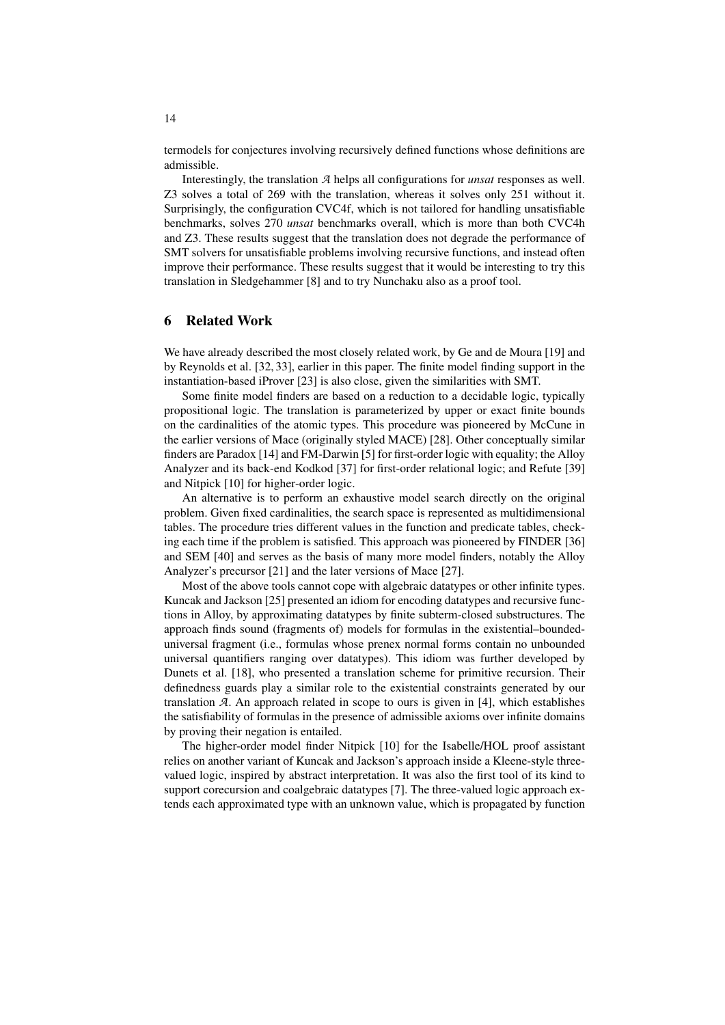termodels for conjectures involving recursively defined functions whose definitions are admissible.

Interestingly, the translation *A* helps all configurations for *unsat* responses as well. Z3 solves a total of 269 with the translation, whereas it solves only 251 without it. Surprisingly, the configuration CVC4f, which is not tailored for handling unsatisfiable benchmarks, solves 270 *unsat* benchmarks overall, which is more than both CVC4h and Z3. These results suggest that the translation does not degrade the performance of SMT solvers for unsatisfiable problems involving recursive functions, and instead often improve their performance. These results suggest that it would be interesting to try this translation in Sledgehammer [\[8\]](#page-15-12) and to try Nunchaku also as a proof tool.

#### <span id="page-13-0"></span>6 Related Work

We have already described the most closely related work, by Ge and de Moura [\[19\]](#page-15-1) and by Reynolds et al. [\[32,](#page-16-1) [33\]](#page-16-2), earlier in this paper. The finite model finding support in the instantiation-based iProver [\[23\]](#page-15-13) is also close, given the similarities with SMT.

Some finite model finders are based on a reduction to a decidable logic, typically propositional logic. The translation is parameterized by upper or exact finite bounds on the cardinalities of the atomic types. This procedure was pioneered by McCune in the earlier versions of Mace (originally styled MACE) [\[28\]](#page-16-7). Other conceptually similar finders are Paradox [\[14\]](#page-15-14) and FM-Darwin [\[5\]](#page-15-15) for first-order logic with equality; the Alloy Analyzer and its back-end Kodkod [\[37\]](#page-16-8) for first-order relational logic; and Refute [\[39\]](#page-16-9) and Nitpick [\[10\]](#page-15-9) for higher-order logic.

An alternative is to perform an exhaustive model search directly on the original problem. Given fixed cardinalities, the search space is represented as multidimensional tables. The procedure tries different values in the function and predicate tables, checking each time if the problem is satisfied. This approach was pioneered by FINDER [\[36\]](#page-16-10) and SEM [\[40\]](#page-16-11) and serves as the basis of many more model finders, notably the Alloy Analyzer's precursor [\[21\]](#page-15-16) and the later versions of Mace [\[27\]](#page-15-17).

Most of the above tools cannot cope with algebraic datatypes or other infinite types. Kuncak and Jackson [\[25\]](#page-15-18) presented an idiom for encoding datatypes and recursive functions in Alloy, by approximating datatypes by finite subterm-closed substructures. The approach finds sound (fragments of) models for formulas in the existential–boundeduniversal fragment (i.e., formulas whose prenex normal forms contain no unbounded universal quantifiers ranging over datatypes). This idiom was further developed by Dunets et al. [\[18\]](#page-15-19), who presented a translation scheme for primitive recursion. Their definedness guards play a similar role to the existential constraints generated by our translation *A*. An approach related in scope to ours is given in [\[4\]](#page-15-20), which establishes the satisfiability of formulas in the presence of admissible axioms over infinite domains by proving their negation is entailed.

The higher-order model finder Nitpick [\[10\]](#page-15-9) for the Isabelle/HOL proof assistant relies on another variant of Kuncak and Jackson's approach inside a Kleene-style threevalued logic, inspired by abstract interpretation. It was also the first tool of its kind to support corecursion and coalgebraic datatypes [\[7\]](#page-15-21). The three-valued logic approach extends each approximated type with an unknown value, which is propagated by function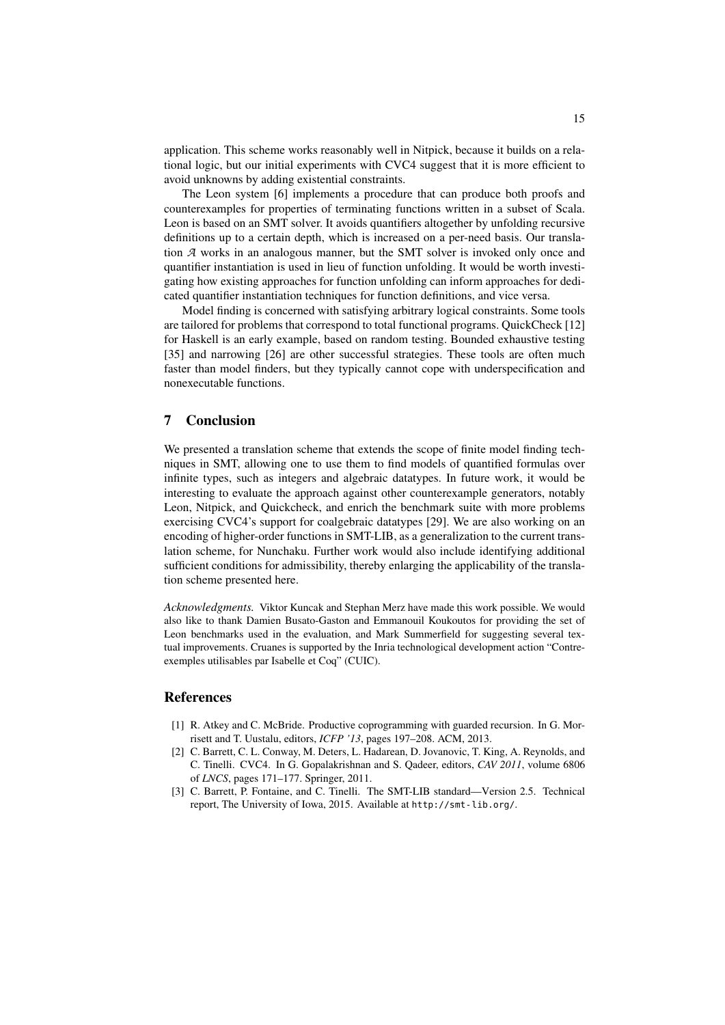application. This scheme works reasonably well in Nitpick, because it builds on a relational logic, but our initial experiments with CVC4 suggest that it is more efficient to avoid unknowns by adding existential constraints.

The Leon system [\[6\]](#page-15-3) implements a procedure that can produce both proofs and counterexamples for properties of terminating functions written in a subset of Scala. Leon is based on an SMT solver. It avoids quantifiers altogether by unfolding recursive definitions up to a certain depth, which is increased on a per-need basis. Our translation *A* works in an analogous manner, but the SMT solver is invoked only once and quantifier instantiation is used in lieu of function unfolding. It would be worth investigating how existing approaches for function unfolding can inform approaches for dedicated quantifier instantiation techniques for function definitions, and vice versa.

Model finding is concerned with satisfying arbitrary logical constraints. Some tools are tailored for problems that correspond to total functional programs. QuickCheck [\[12\]](#page-15-22) for Haskell is an early example, based on random testing. Bounded exhaustive testing [\[35\]](#page-16-12) and narrowing [\[26\]](#page-15-23) are other successful strategies. These tools are often much faster than model finders, but they typically cannot cope with underspecification and nonexecutable functions.

# 7 Conclusion

We presented a translation scheme that extends the scope of finite model finding techniques in SMT, allowing one to use them to find models of quantified formulas over infinite types, such as integers and algebraic datatypes. In future work, it would be interesting to evaluate the approach against other counterexample generators, notably Leon, Nitpick, and Quickcheck, and enrich the benchmark suite with more problems exercising CVC4's support for coalgebraic datatypes [\[29\]](#page-16-6). We are also working on an encoding of higher-order functions in SMT-LIB, as a generalization to the current translation scheme, for Nunchaku. Further work would also include identifying additional sufficient conditions for admissibility, thereby enlarging the applicability of the translation scheme presented here.

*Acknowledgments.* Viktor Kuncak and Stephan Merz have made this work possible. We would also like to thank Damien Busato-Gaston and Emmanouil Koukoutos for providing the set of Leon benchmarks used in the evaluation, and Mark Summerfield for suggesting several textual improvements. Cruanes is supported by the Inria technological development action "Contreexemples utilisables par Isabelle et Coq" (CUIC).

## References

- <span id="page-14-1"></span>[1] R. Atkey and C. McBride. Productive coprogramming with guarded recursion. In G. Morrisett and T. Uustalu, editors, *ICFP '13*, pages 197–208. ACM, 2013.
- <span id="page-14-2"></span>[2] C. Barrett, C. L. Conway, M. Deters, L. Hadarean, D. Jovanovic, T. King, A. Reynolds, and C. Tinelli. CVC4. In G. Gopalakrishnan and S. Qadeer, editors, *CAV 2011*, volume 6806 of *LNCS*, pages 171–177. Springer, 2011.
- <span id="page-14-0"></span>[3] C. Barrett, P. Fontaine, and C. Tinelli. The SMT-LIB standard—Version 2.5. Technical report, The University of Iowa, 2015. Available at <http://smt-lib.org/>.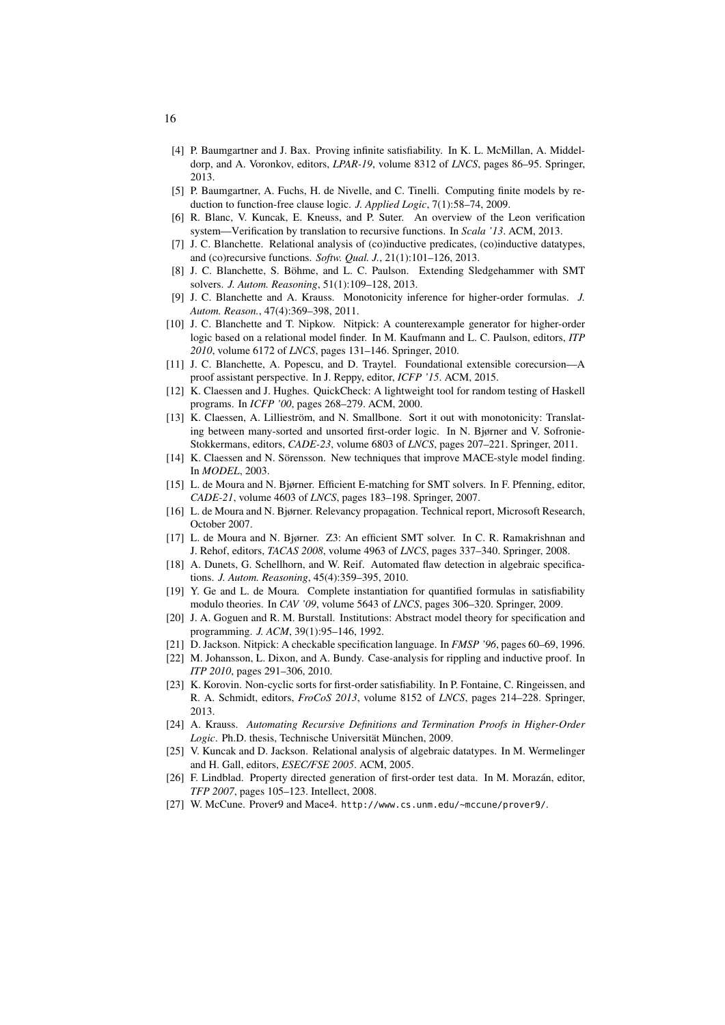- <span id="page-15-20"></span>[4] P. Baumgartner and J. Bax. Proving infinite satisfiability. In K. L. McMillan, A. Middeldorp, and A. Voronkov, editors, *LPAR-19*, volume 8312 of *LNCS*, pages 86–95. Springer, 2013.
- <span id="page-15-15"></span>[5] P. Baumgartner, A. Fuchs, H. de Nivelle, and C. Tinelli. Computing finite models by reduction to function-free clause logic. *J. Applied Logic*, 7(1):58–74, 2009.
- <span id="page-15-3"></span>[6] R. Blanc, V. Kuncak, E. Kneuss, and P. Suter. An overview of the Leon verification system—Verification by translation to recursive functions. In *Scala '13*. ACM, 2013.
- <span id="page-15-21"></span>[7] J. C. Blanchette. Relational analysis of (co)inductive predicates, (co)inductive datatypes, and (co)recursive functions. *Softw. Qual. J.*, 21(1):101–126, 2013.
- <span id="page-15-12"></span>[8] J. C. Blanchette, S. Böhme, and L. C. Paulson. Extending Sledgehammer with SMT solvers. *J. Autom. Reasoning*, 51(1):109–128, 2013.
- <span id="page-15-6"></span>[9] J. C. Blanchette and A. Krauss. Monotonicity inference for higher-order formulas. *J. Autom. Reason.*, 47(4):369–398, 2011.
- <span id="page-15-9"></span>[10] J. C. Blanchette and T. Nipkow. Nitpick: A counterexample generator for higher-order logic based on a relational model finder. In M. Kaufmann and L. C. Paulson, editors, *ITP 2010*, volume 6172 of *LNCS*, pages 131–146. Springer, 2010.
- <span id="page-15-5"></span>[11] J. C. Blanchette, A. Popescu, and D. Traytel. Foundational extensible corecursion—A proof assistant perspective. In J. Reppy, editor, *ICFP '15*. ACM, 2015.
- <span id="page-15-22"></span>[12] K. Claessen and J. Hughes. QuickCheck: A lightweight tool for random testing of Haskell programs. In *ICFP '00*, pages 268–279. ACM, 2000.
- <span id="page-15-7"></span>[13] K. Claessen, A. Lillieström, and N. Smallbone. Sort it out with monotonicity: Translating between many-sorted and unsorted first-order logic. In N. Bjørner and V. Sofronie-Stokkermans, editors, *CADE-23*, volume 6803 of *LNCS*, pages 207–221. Springer, 2011.
- <span id="page-15-14"></span>[14] K. Claessen and N. Sörensson. New techniques that improve MACE-style model finding. In *MODEL*, 2003.
- <span id="page-15-0"></span>[15] L. de Moura and N. Bjørner. Efficient E-matching for SMT solvers. In F. Pfenning, editor, *CADE-21*, volume 4603 of *LNCS*, pages 183–198. Springer, 2007.
- <span id="page-15-8"></span>[16] L. de Moura and N. Bjørner. Relevancy propagation. Technical report, Microsoft Research, October 2007.
- <span id="page-15-11"></span>[17] L. de Moura and N. Bjørner. Z3: An efficient SMT solver. In C. R. Ramakrishnan and J. Rehof, editors, *TACAS 2008*, volume 4963 of *LNCS*, pages 337–340. Springer, 2008.
- <span id="page-15-19"></span>[18] A. Dunets, G. Schellhorn, and W. Reif. Automated flaw detection in algebraic specifications. *J. Autom. Reasoning*, 45(4):359–395, 2010.
- <span id="page-15-1"></span>[19] Y. Ge and L. de Moura. Complete instantiation for quantified formulas in satisfiability modulo theories. In *CAV '09*, volume 5643 of *LNCS*, pages 306–320. Springer, 2009.
- <span id="page-15-10"></span>[20] J. A. Goguen and R. M. Burstall. Institutions: Abstract model theory for specification and programming. *J. ACM*, 39(1):95–146, 1992.
- <span id="page-15-16"></span>[21] D. Jackson. Nitpick: A checkable specification language. In *FMSP '96*, pages 60–69, 1996.
- <span id="page-15-2"></span>[22] M. Johansson, L. Dixon, and A. Bundy. Case-analysis for rippling and inductive proof. In *ITP 2010*, pages 291–306, 2010.
- <span id="page-15-13"></span>[23] K. Korovin. Non-cyclic sorts for first-order satisfiability. In P. Fontaine, C. Ringeissen, and R. A. Schmidt, editors, *FroCoS 2013*, volume 8152 of *LNCS*, pages 214–228. Springer, 2013.
- <span id="page-15-4"></span>[24] A. Krauss. *Automating Recursive Definitions and Termination Proofs in Higher-Order Logic*. Ph.D. thesis, Technische Universität München, 2009.
- <span id="page-15-18"></span>[25] V. Kuncak and D. Jackson. Relational analysis of algebraic datatypes. In M. Wermelinger and H. Gall, editors, *ESEC/FSE 2005*. ACM, 2005.
- <span id="page-15-23"></span>[26] F. Lindblad. Property directed generation of first-order test data. In M. Morazán, editor, *TFP 2007*, pages 105–123. Intellect, 2008.
- <span id="page-15-17"></span>[27] W. McCune. Prover9 and Mace4. <http://www.cs.unm.edu/~mccune/prover9/>.

16